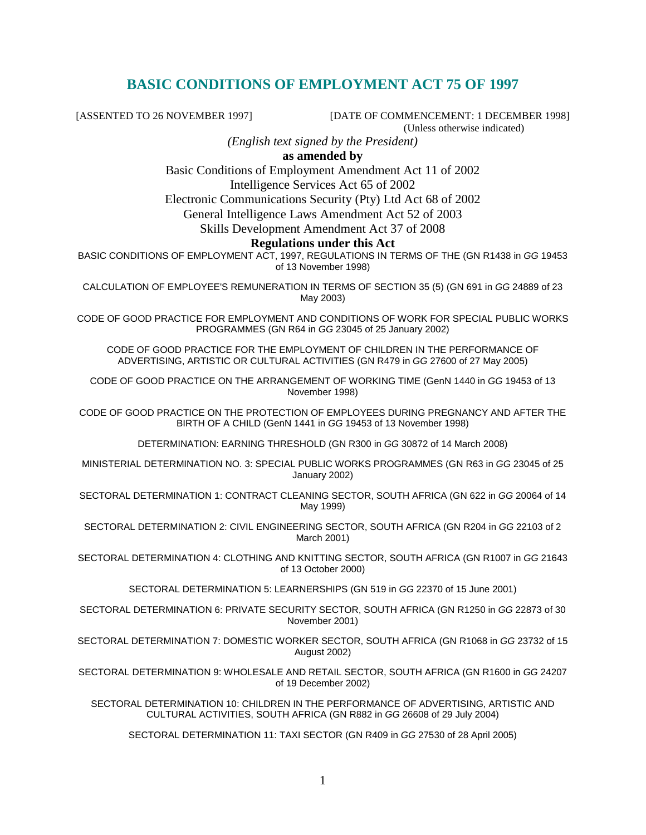# **BASIC CONDITIONS OF EMPLOYMENT ACT 75 OF 1997**

[ASSENTED TO 26 NOVEMBER 1997] [DATE OF COMMENCEMENT: 1 DECEMBER 1998] (Unless otherwise indicated)

*(English text signed by the President)* 

**as amended by** 

Basic Conditions of Employment Amendment Act 11 of 2002

Intelligence Services Act 65 of 2002

Electronic Communications Security (Pty) Ltd Act 68 of 2002

General Intelligence Laws Amendment Act 52 of 2003

Skills Development Amendment Act 37 of 2008

#### **Regulations under this Act**

BASIC CONDITIONS OF EMPLOYMENT ACT, 1997, REGULATIONS IN TERMS OF THE (GN R1438 in GG 19453 of 13 November 1998)

CALCULATION OF EMPLOYEE'S REMUNERATION IN TERMS OF SECTION 35 (5) (GN 691 in GG 24889 of 23 May 2003)

CODE OF GOOD PRACTICE FOR EMPLOYMENT AND CONDITIONS OF WORK FOR SPECIAL PUBLIC WORKS PROGRAMMES (GN R64 in GG 23045 of 25 January 2002)

CODE OF GOOD PRACTICE FOR THE EMPLOYMENT OF CHILDREN IN THE PERFORMANCE OF ADVERTISING, ARTISTIC OR CULTURAL ACTIVITIES (GN R479 in GG 27600 of 27 May 2005)

CODE OF GOOD PRACTICE ON THE ARRANGEMENT OF WORKING TIME (GenN 1440 in GG 19453 of 13 November 1998)

CODE OF GOOD PRACTICE ON THE PROTECTION OF EMPLOYEES DURING PREGNANCY AND AFTER THE BIRTH OF A CHILD (GenN 1441 in GG 19453 of 13 November 1998)

DETERMINATION: EARNING THRESHOLD (GN R300 in GG 30872 of 14 March 2008)

MINISTERIAL DETERMINATION NO. 3: SPECIAL PUBLIC WORKS PROGRAMMES (GN R63 in GG 23045 of 25 January 2002)

SECTORAL DETERMINATION 1: CONTRACT CLEANING SECTOR, SOUTH AFRICA (GN 622 in GG 20064 of 14 May 1999)

SECTORAL DETERMINATION 2: CIVIL ENGINEERING SECTOR, SOUTH AFRICA (GN R204 in GG 22103 of 2 March 2001)

SECTORAL DETERMINATION 4: CLOTHING AND KNITTING SECTOR, SOUTH AFRICA (GN R1007 in GG 21643 of 13 October 2000)

SECTORAL DETERMINATION 5: LEARNERSHIPS (GN 519 in GG 22370 of 15 June 2001)

SECTORAL DETERMINATION 6: PRIVATE SECURITY SECTOR, SOUTH AFRICA (GN R1250 in GG 22873 of 30 November 2001)

SECTORAL DETERMINATION 7: DOMESTIC WORKER SECTOR, SOUTH AFRICA (GN R1068 in GG 23732 of 15 August 2002)

SECTORAL DETERMINATION 9: WHOLESALE AND RETAIL SECTOR, SOUTH AFRICA (GN R1600 in GG 24207 of 19 December 2002)

SECTORAL DETERMINATION 10: CHILDREN IN THE PERFORMANCE OF ADVERTISING, ARTISTIC AND CULTURAL ACTIVITIES, SOUTH AFRICA (GN R882 in GG 26608 of 29 July 2004)

SECTORAL DETERMINATION 11: TAXI SECTOR (GN R409 in GG 27530 of 28 April 2005)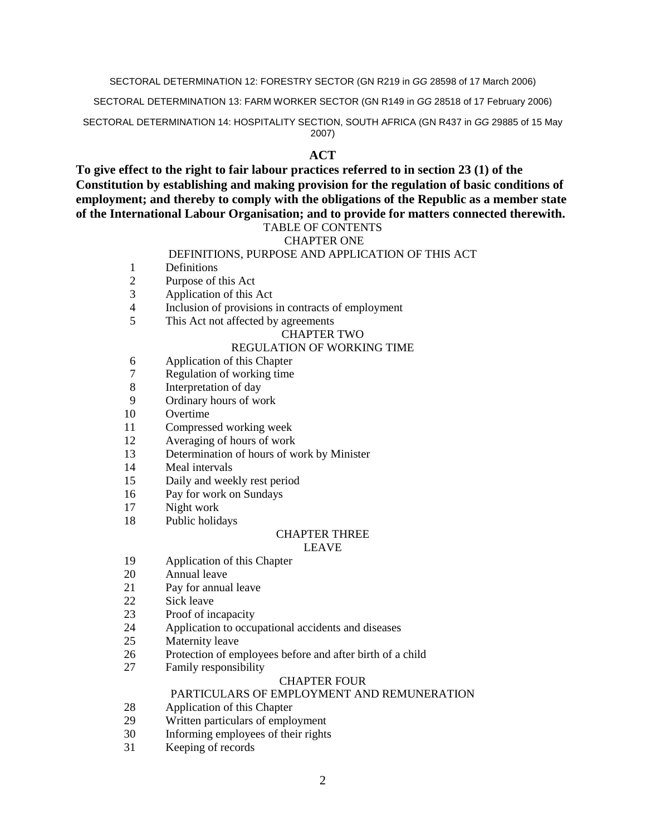#### SECTORAL DETERMINATION 12: FORESTRY SECTOR (GN R219 in GG 28598 of 17 March 2006)

SECTORAL DETERMINATION 13: FARM WORKER SECTOR (GN R149 in GG 28518 of 17 February 2006)

SECTORAL DETERMINATION 14: HOSPITALITY SECTION, SOUTH AFRICA (GN R437 in GG 29885 of 15 May 2007)

#### **ACT**

**To give effect to the right to fair labour practices referred to in section 23 (1) of the Constitution by establishing and making provision for the regulation of basic conditions of employment; and thereby to comply with the obligations of the Republic as a member state of the International Labour Organisation; and to provide for matters connected therewith.**  TABLE OF CONTENTS

## CHAPTER ONE

#### DEFINITIONS, PURPOSE AND APPLICATION OF THIS ACT

- 1 Definitions<br>2 Purpose of 1
- Purpose of this Act
- 3 Application of this Act
- 4 Inclusion of provisions in contracts of employment
- 5 This Act not affected by agreements

#### CHAPTER TWO

#### REGULATION OF WORKING TIME

- 6 Application of this Chapter
- 7 Regulation of working time
- 8 Interpretation of day
- 9 Ordinary hours of work
- 10 Overtime
- 11 Compressed working week
- 12 Averaging of hours of work
- 13 Determination of hours of work by Minister
- 14 Meal intervals
- 15 Daily and weekly rest period
- 16 Pay for work on Sundays
- 17 Night work
- 18 Public holidays

# CHAPTER THREE

#### LEAVE

- 19 Application of this Chapter
- 20 Annual leave
- 21 Pay for annual leave
- 22 Sick leave
- 23 Proof of incapacity
- 24 Application to occupational accidents and diseases
- 25 Maternity leave
- 26 Protection of employees before and after birth of a child
- 27 Family responsibility

#### CHAPTER FOUR

#### PARTICULARS OF EMPLOYMENT AND REMUNERATION

- 28 Application of this Chapter
- 29 Written particulars of employment
- 30 Informing employees of their rights
- 31 Keeping of records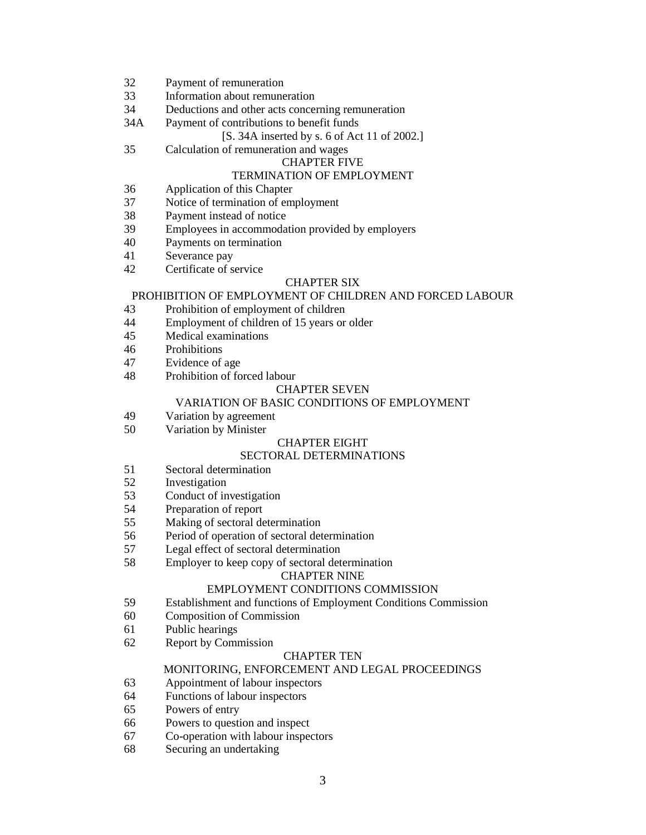- 32 Payment of remuneration
- 33 Information about remuneration
- 34 Deductions and other acts concerning remuneration
- 34A Payment of contributions to benefit funds

#### [S. 34A inserted by s. 6 of Act 11 of 2002.]

35 Calculation of remuneration and wages

#### CHAPTER FIVE

#### TERMINATION OF EMPLOYMENT

- 36 Application of this Chapter
- 37 Notice of termination of employment
- 38 Payment instead of notice
- 39 Employees in accommodation provided by employers
- 40 Payments on termination
- 41 Severance pay
- 42 Certificate of service

#### CHAPTER SIX

#### PROHIBITION OF EMPLOYMENT OF CHILDREN AND FORCED LABOUR

- 43 Prohibition of employment of children
- 44 Employment of children of 15 years or older
- 45 Medical examinations
- 46 Prohibitions
- 47 Evidence of age
- 48 Prohibition of forced labour

#### CHAPTER SEVEN

#### VARIATION OF BASIC CONDITIONS OF EMPLOYMENT

- 49 Variation by agreement
- 50 Variation by Minister

#### CHAPTER EIGHT

#### SECTORAL DETERMINATIONS

- 51 Sectoral determination
- 52 Investigation
- 53 Conduct of investigation
- 54 Preparation of report<br>55 Making of sectoral de
- Making of sectoral determination
- 56 Period of operation of sectoral determination
- 57 Legal effect of sectoral determination
- 58 Employer to keep copy of sectoral determination

#### CHAPTER NINE

#### EMPLOYMENT CONDITIONS COMMISSION

- 59 Establishment and functions of Employment Conditions Commission
- 60 Composition of Commission
- 61 Public hearings
- 62 Report by Commission

#### CHAPTER TEN

#### MONITORING, ENFORCEMENT AND LEGAL PROCEEDINGS

- 63 Appointment of labour inspectors
- 64 Functions of labour inspectors
- 65 Powers of entry
- 66 Powers to question and inspect
- 67 Co-operation with labour inspectors
- 68 Securing an undertaking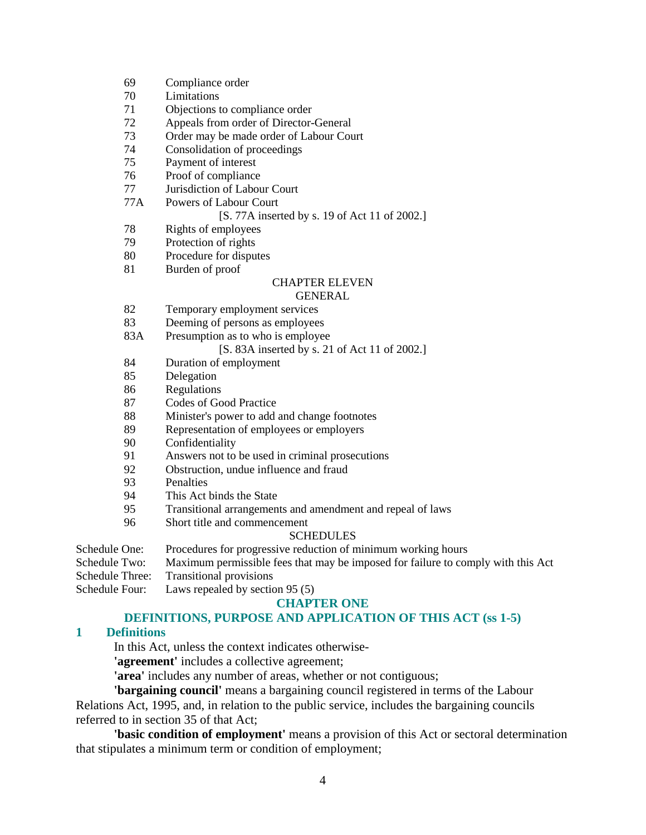- 69 Compliance order
- 70 Limitations
- 71 Objections to compliance order
- 72 Appeals from order of Director-General
- 73 Order may be made order of Labour Court
- 74 Consolidation of proceedings
- 75 Payment of interest
- 76 Proof of compliance
- 77 Jurisdiction of Labour Court
- 77A Powers of Labour Court

#### [S. 77A inserted by s. 19 of Act 11 of 2002.]

- 78 Rights of employees
- 79 Protection of rights
- 80 Procedure for disputes
- 81 Burden of proof

#### CHAPTER ELEVEN

#### GENERAL

- 82 Temporary employment services
- 83 Deeming of persons as employees
- 83A Presumption as to who is employee

#### [S. 83A inserted by s. 21 of Act 11 of 2002.]

- 84 Duration of employment
- 85 Delegation
- 86 Regulations
- 87 Codes of Good Practice
- 88 Minister's power to add and change footnotes
- 89 Representation of employees or employers
- 90 Confidentiality
- 91 Answers not to be used in criminal prosecutions
- 92 Obstruction, undue influence and fraud
- 93 Penalties
- 94 This Act binds the State
- 95 Transitional arrangements and amendment and repeal of laws
- 96 Short title and commencement

#### SCHEDULES

Schedule One: Procedures for progressive reduction of minimum working hours

Schedule Two: Maximum permissible fees that may be imposed for failure to comply with this Act

Schedule Three: Transitional provisions

Schedule Four: Laws repealed by section 95 (5)

#### **CHAPTER ONE**

#### **DEFINITIONS, PURPOSE AND APPLICATION OF THIS ACT (ss 1-5)**

#### **1 Definitions**

In this Act, unless the context indicates otherwise-

**'agreement'** includes a collective agreement;

**'area'** includes any number of areas, whether or not contiguous;

**'bargaining council'** means a bargaining council registered in terms of the Labour Relations Act, 1995, and, in relation to the public service, includes the bargaining councils referred to in section 35 of that Act;

**'basic condition of employment'** means a provision of this Act or sectoral determination that stipulates a minimum term or condition of employment;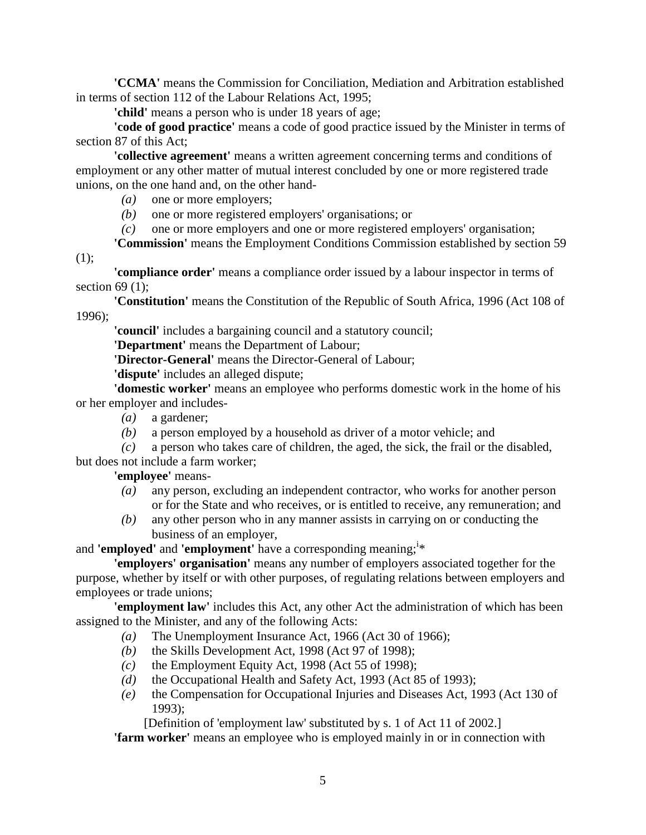**'CCMA'** means the Commission for Conciliation, Mediation and Arbitration established in terms of section 112 of the Labour Relations Act, 1995;

**'child'** means a person who is under 18 years of age;

**'code of good practice'** means a code of good practice issued by the Minister in terms of section 87 of this Act;

**'collective agreement'** means a written agreement concerning terms and conditions of employment or any other matter of mutual interest concluded by one or more registered trade unions, on the one hand and, on the other hand-

*(a)* one or more employers;

*(b)* one or more registered employers' organisations; or

*(c)* one or more employers and one or more registered employers' organisation;

**'Commission'** means the Employment Conditions Commission established by section 59  $(1);$ 

**'compliance order'** means a compliance order issued by a labour inspector in terms of section  $69(1)$ ;

**'Constitution'** means the Constitution of the Republic of South Africa, 1996 (Act 108 of 1996);

**'council'** includes a bargaining council and a statutory council;

**'Department'** means the Department of Labour;

**'Director-General'** means the Director-General of Labour;

**'dispute'** includes an alleged dispute;

**'domestic worker'** means an employee who performs domestic work in the home of his or her employer and includes-

- *(a)* a gardener;
- *(b)* a person employed by a household as driver of a motor vehicle; and
- *(c)* a person who takes care of children, the aged, the sick, the frail or the disabled, but does not include a farm worker;

**'employee'** means-

- *(a)* any person, excluding an independent contractor, who works for another person or for the State and who receives, or is entitled to receive, any remuneration; and
- *(b)* any other person who in any manner assists in carrying on or conducting the business of an employer,

and 'employed' and 'employment' have a corresponding meaning;<sup>i\*</sup>

**'employers' organisation'** means any number of employers associated together for the purpose, whether by itself or with other purposes, of regulating relations between employers and employees or trade unions;

**'employment law'** includes this Act, any other Act the administration of which has been assigned to the Minister, and any of the following Acts:

- *(a)* The Unemployment Insurance Act, 1966 (Act 30 of 1966);
- *(b)* the Skills Development Act, 1998 (Act 97 of 1998);
- $(c)$  the Employment Equity Act, 1998 (Act 55 of 1998);
- *(d)* the Occupational Health and Safety Act, 1993 (Act 85 of 1993);
- *(e)* the Compensation for Occupational Injuries and Diseases Act, 1993 (Act 130 of 1993);

[Definition of 'employment law' substituted by s. 1 of Act 11 of 2002.]

**'farm worker'** means an employee who is employed mainly in or in connection with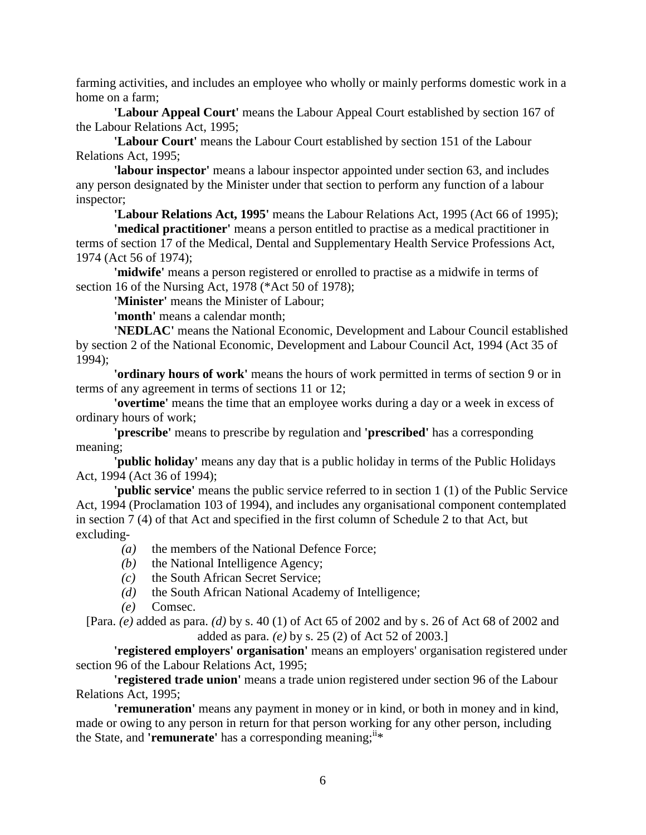farming activities, and includes an employee who wholly or mainly performs domestic work in a home on a farm;

**'Labour Appeal Court'** means the Labour Appeal Court established by section 167 of the Labour Relations Act, 1995;

**'Labour Court'** means the Labour Court established by section 151 of the Labour Relations Act, 1995;

**'labour inspector'** means a labour inspector appointed under section 63, and includes any person designated by the Minister under that section to perform any function of a labour inspector;

**'Labour Relations Act, 1995'** means the Labour Relations Act, 1995 (Act 66 of 1995);

**'medical practitioner'** means a person entitled to practise as a medical practitioner in terms of section 17 of the Medical, Dental and Supplementary Health Service Professions Act, 1974 (Act 56 of 1974);

**'midwife'** means a person registered or enrolled to practise as a midwife in terms of section 16 of the Nursing Act, 1978 (\*Act 50 of 1978);

**'Minister'** means the Minister of Labour;

**'month'** means a calendar month;

**'NEDLAC'** means the National Economic, Development and Labour Council established by section 2 of the National Economic, Development and Labour Council Act, 1994 (Act 35 of 1994);

**'ordinary hours of work'** means the hours of work permitted in terms of section 9 or in terms of any agreement in terms of sections 11 or 12;

**'overtime'** means the time that an employee works during a day or a week in excess of ordinary hours of work;

**'prescribe'** means to prescribe by regulation and **'prescribed'** has a corresponding meaning;

**'public holiday'** means any day that is a public holiday in terms of the Public Holidays Act, 1994 (Act 36 of 1994);

**'public service'** means the public service referred to in section 1 (1) of the Public Service Act, 1994 (Proclamation 103 of 1994), and includes any organisational component contemplated in section 7 (4) of that Act and specified in the first column of Schedule 2 to that Act, but excluding-

- *(a)* the members of the National Defence Force;
- *(b)* the National Intelligence Agency;
- *(c)* the South African Secret Service;
- *(d)* the South African National Academy of Intelligence;
- *(e)* Comsec.

[Para. *(e)* added as para. *(d)* by s. 40 (1) of Act 65 of 2002 and by s. 26 of Act 68 of 2002 and added as para. *(e)* by s. 25 (2) of Act 52 of 2003.]

**'registered employers' organisation'** means an employers' organisation registered under section 96 of the Labour Relations Act, 1995;

**'registered trade union'** means a trade union registered under section 96 of the Labour Relations Act, 1995;

**'remuneration'** means any payment in money or in kind, or both in money and in kind, made or owing to any person in return for that person working for any other person, including the State, and **'remunerate'** has a corresponding meaning;  $i^i*$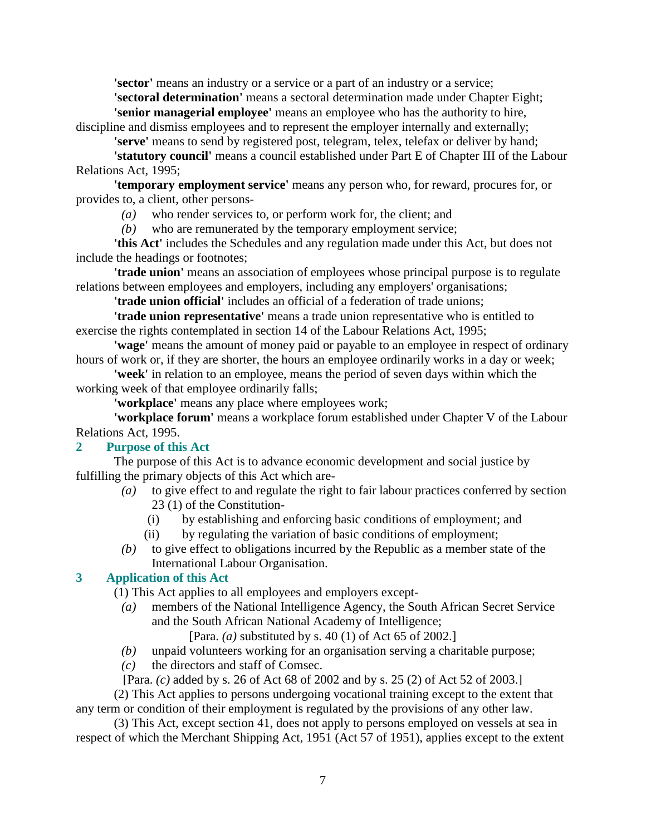**'sector'** means an industry or a service or a part of an industry or a service;

**'sectoral determination'** means a sectoral determination made under Chapter Eight; **'senior managerial employee'** means an employee who has the authority to hire,

discipline and dismiss employees and to represent the employer internally and externally;

**'serve'** means to send by registered post, telegram, telex, telefax or deliver by hand;

**'statutory council'** means a council established under Part E of Chapter III of the Labour Relations Act, 1995;

**'temporary employment service'** means any person who, for reward, procures for, or provides to, a client, other persons-

*(a)* who render services to, or perform work for, the client; and

*(b)* who are remunerated by the temporary employment service;

**'this Act'** includes the Schedules and any regulation made under this Act, but does not include the headings or footnotes;

**'trade union'** means an association of employees whose principal purpose is to regulate relations between employees and employers, including any employers' organisations;

**'trade union official'** includes an official of a federation of trade unions;

**'trade union representative'** means a trade union representative who is entitled to exercise the rights contemplated in section 14 of the Labour Relations Act, 1995;

**'wage'** means the amount of money paid or payable to an employee in respect of ordinary hours of work or, if they are shorter, the hours an employee ordinarily works in a day or week;

**'week'** in relation to an employee, means the period of seven days within which the working week of that employee ordinarily falls;

**'workplace'** means any place where employees work;

**'workplace forum'** means a workplace forum established under Chapter V of the Labour Relations Act, 1995.

## **2 Purpose of this Act**

 The purpose of this Act is to advance economic development and social justice by fulfilling the primary objects of this Act which are-

- *(a)* to give effect to and regulate the right to fair labour practices conferred by section 23 (1) of the Constitution-
	- (i) by establishing and enforcing basic conditions of employment; and
	- (ii) by regulating the variation of basic conditions of employment;
- *(b)* to give effect to obligations incurred by the Republic as a member state of the International Labour Organisation.

## **3 Application of this Act**

(1) This Act applies to all employees and employers except-

 *(a)* members of the National Intelligence Agency, the South African Secret Service and the South African National Academy of Intelligence;

[Para. *(a)* substituted by s. 40 (1) of Act 65 of 2002.]

- *(b)* unpaid volunteers working for an organisation serving a charitable purpose;
- *(c)* the directors and staff of Comsec.

[Para. *(c)* added by s. 26 of Act 68 of 2002 and by s. 25 (2) of Act 52 of 2003.]

 (2) This Act applies to persons undergoing vocational training except to the extent that any term or condition of their employment is regulated by the provisions of any other law.

 (3) This Act, except section 41, does not apply to persons employed on vessels at sea in respect of which the Merchant Shipping Act, 1951 (Act 57 of 1951), applies except to the extent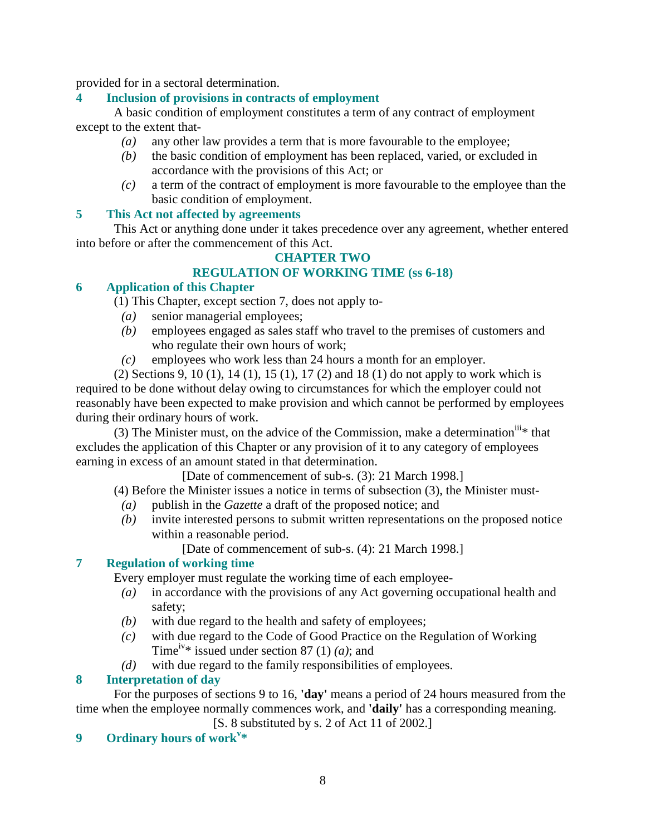provided for in a sectoral determination.

## **4 Inclusion of provisions in contracts of employment**

 A basic condition of employment constitutes a term of any contract of employment except to the extent that-

- *(a)* any other law provides a term that is more favourable to the employee;
- *(b)* the basic condition of employment has been replaced, varied, or excluded in accordance with the provisions of this Act; or
- *(c)* a term of the contract of employment is more favourable to the employee than the basic condition of employment.

## **5 This Act not affected by agreements**

 This Act or anything done under it takes precedence over any agreement, whether entered into before or after the commencement of this Act.

# **CHAPTER TWO**

# **REGULATION OF WORKING TIME (ss 6-18)**

## **6 Application of this Chapter**

- (1) This Chapter, except section 7, does not apply to-
	- *(a)* senior managerial employees;
	- *(b)* employees engaged as sales staff who travel to the premises of customers and who regulate their own hours of work;
	- *(c)* employees who work less than 24 hours a month for an employer.

 (2) Sections 9, 10 (1), 14 (1), 15 (1), 17 (2) and 18 (1) do not apply to work which is required to be done without delay owing to circumstances for which the employer could not reasonably have been expected to make provision and which cannot be performed by employees during their ordinary hours of work.

(3) The Minister must, on the advice of the Commission, make a determination<sup>iii</sup>\* that excludes the application of this Chapter or any provision of it to any category of employees earning in excess of an amount stated in that determination.

[Date of commencement of sub-s. (3): 21 March 1998.]

(4) Before the Minister issues a notice in terms of subsection (3), the Minister must-

- *(a)* publish in the *Gazette* a draft of the proposed notice; and
- *(b)* invite interested persons to submit written representations on the proposed notice within a reasonable period.

[Date of commencement of sub-s. (4): 21 March 1998.]

# **7 Regulation of working time**

Every employer must regulate the working time of each employee-

- *(a)* in accordance with the provisions of any Act governing occupational health and safety;
- *(b)* with due regard to the health and safety of employees;
- *(c)* with due regard to the Code of Good Practice on the Regulation of Working Time<sup>iv\*</sup> issued under section 87 (1) *(a)*; and
- *(d)* with due regard to the family responsibilities of employees.

# **8 Interpretation of day**

 For the purposes of sections 9 to 16, **'day'** means a period of 24 hours measured from the time when the employee normally commences work, and **'daily'** has a corresponding meaning.

[S. 8 substituted by s. 2 of Act 11 of 2002.]

# **9 Ordinary hours of work<sup>v</sup> \***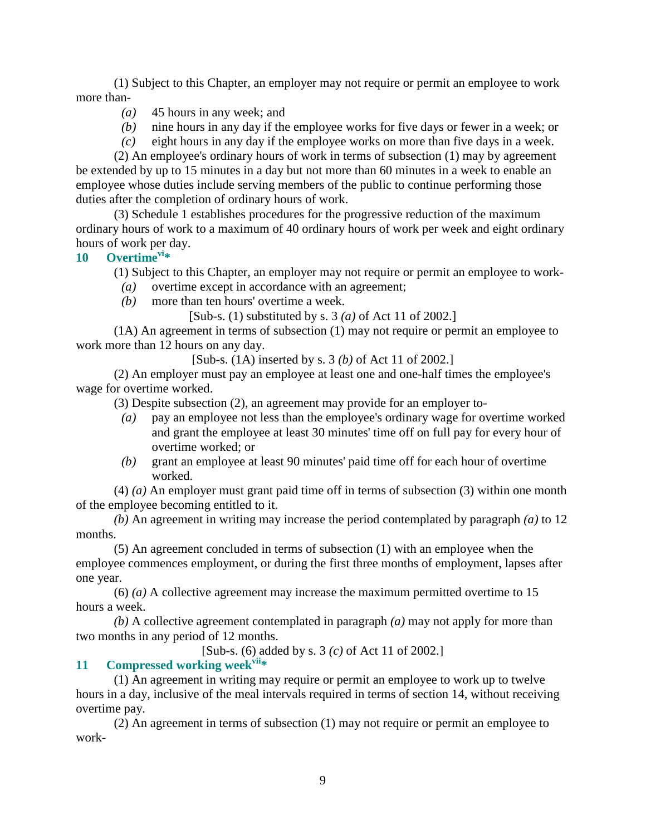(1) Subject to this Chapter, an employer may not require or permit an employee to work more than-

- *(a)* 45 hours in any week; and
- *(b)* nine hours in any day if the employee works for five days or fewer in a week; or
- *(c)* eight hours in any day if the employee works on more than five days in a week.

 (2) An employee's ordinary hours of work in terms of subsection (1) may by agreement be extended by up to 15 minutes in a day but not more than 60 minutes in a week to enable an employee whose duties include serving members of the public to continue performing those duties after the completion of ordinary hours of work.

 (3) Schedule 1 establishes procedures for the progressive reduction of the maximum ordinary hours of work to a maximum of 40 ordinary hours of work per week and eight ordinary hours of work per day.

**10 Overtimevi\*** 

(1) Subject to this Chapter, an employer may not require or permit an employee to work-

- *(a)* overtime except in accordance with an agreement;
- *(b)* more than ten hours' overtime a week.

[Sub-s. (1) substituted by s. 3 *(a)* of Act 11 of 2002.]

 (1A) An agreement in terms of subsection (1) may not require or permit an employee to work more than 12 hours on any day.

[Sub-s. (1A) inserted by s. 3 *(b)* of Act 11 of 2002.]

 (2) An employer must pay an employee at least one and one-half times the employee's wage for overtime worked.

(3) Despite subsection (2), an agreement may provide for an employer to-

- *(a)* pay an employee not less than the employee's ordinary wage for overtime worked and grant the employee at least 30 minutes' time off on full pay for every hour of overtime worked; or
- *(b)* grant an employee at least 90 minutes' paid time off for each hour of overtime worked.

 (4) *(a)* An employer must grant paid time off in terms of subsection (3) within one month of the employee becoming entitled to it.

*(b)* An agreement in writing may increase the period contemplated by paragraph *(a)* to 12 months.

 (5) An agreement concluded in terms of subsection (1) with an employee when the employee commences employment, or during the first three months of employment, lapses after one year.

 (6) *(a)* A collective agreement may increase the maximum permitted overtime to 15 hours a week.

*(b)* A collective agreement contemplated in paragraph *(a)* may not apply for more than two months in any period of 12 months.

[Sub-s. (6) added by s. 3 *(c)* of Act 11 of 2002.]

# **11 Compressed working weekvii\***

 (1) An agreement in writing may require or permit an employee to work up to twelve hours in a day, inclusive of the meal intervals required in terms of section 14, without receiving overtime pay.

 (2) An agreement in terms of subsection (1) may not require or permit an employee to work-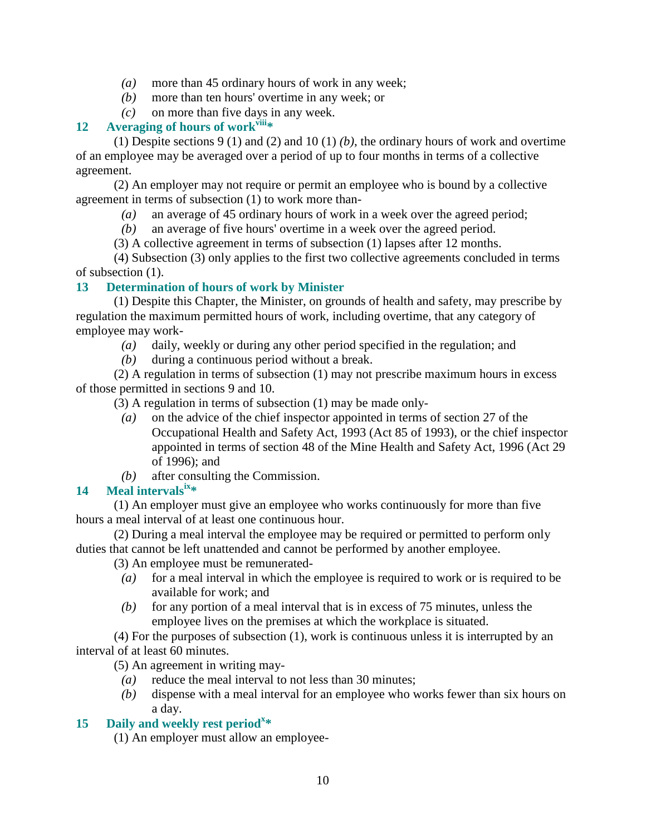- *(a)* more than 45 ordinary hours of work in any week;
- *(b)* more than ten hours' overtime in any week; or
- *(c)* on more than five days in any week.

## **12 Averaging of hours of workviii\***

 (1) Despite sections 9 (1) and (2) and 10 (1) *(b)*, the ordinary hours of work and overtime of an employee may be averaged over a period of up to four months in terms of a collective agreement.

 (2) An employer may not require or permit an employee who is bound by a collective agreement in terms of subsection (1) to work more than-

*(a)* an average of 45 ordinary hours of work in a week over the agreed period;

*(b)* an average of five hours' overtime in a week over the agreed period.

(3) A collective agreement in terms of subsection (1) lapses after 12 months.

 (4) Subsection (3) only applies to the first two collective agreements concluded in terms of subsection (1).

## **13 Determination of hours of work by Minister**

 (1) Despite this Chapter, the Minister, on grounds of health and safety, may prescribe by regulation the maximum permitted hours of work, including overtime, that any category of employee may work-

- *(a)* daily, weekly or during any other period specified in the regulation; and
- *(b)* during a continuous period without a break.

 (2) A regulation in terms of subsection (1) may not prescribe maximum hours in excess of those permitted in sections 9 and 10.

(3) A regulation in terms of subsection (1) may be made only-

- *(a)* on the advice of the chief inspector appointed in terms of section 27 of the Occupational Health and Safety Act, 1993 (Act 85 of 1993), or the chief inspector appointed in terms of section 48 of the Mine Health and Safety Act, 1996 (Act 29 of 1996); and
- *(b)* after consulting the Commission.

## **14 Meal intervalsix\***

 (1) An employer must give an employee who works continuously for more than five hours a meal interval of at least one continuous hour.

 (2) During a meal interval the employee may be required or permitted to perform only duties that cannot be left unattended and cannot be performed by another employee.

(3) An employee must be remunerated-

- *(a)* for a meal interval in which the employee is required to work or is required to be available for work; and
- *(b)* for any portion of a meal interval that is in excess of 75 minutes, unless the employee lives on the premises at which the workplace is situated.

 (4) For the purposes of subsection (1), work is continuous unless it is interrupted by an interval of at least 60 minutes.

(5) An agreement in writing may-

- *(a)* reduce the meal interval to not less than 30 minutes;
- *(b)* dispense with a meal interval for an employee who works fewer than six hours on a day.

# **15 Daily and weekly rest period<sup>x</sup> \***

(1) An employer must allow an employee-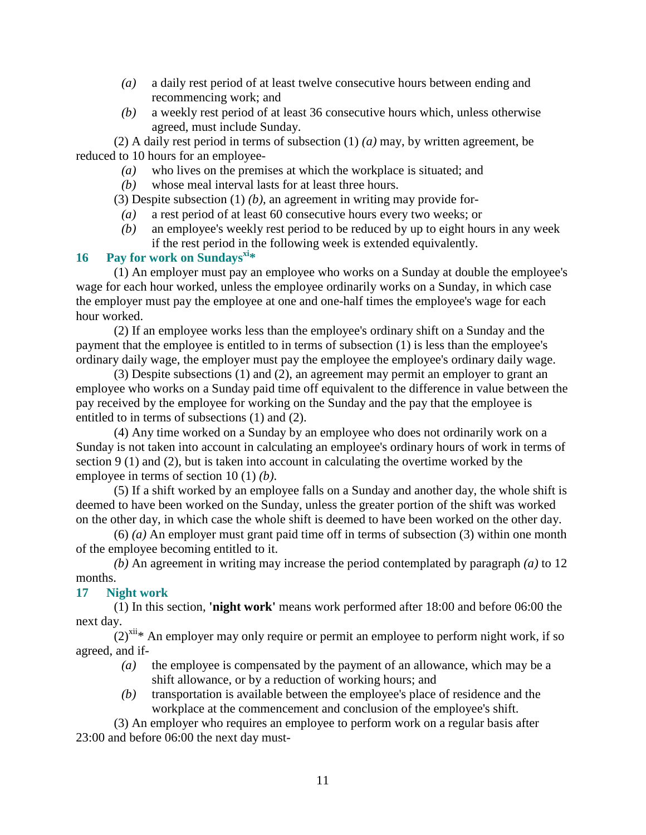- *(a)* a daily rest period of at least twelve consecutive hours between ending and recommencing work; and
- *(b)* a weekly rest period of at least 36 consecutive hours which, unless otherwise agreed, must include Sunday.

 (2) A daily rest period in terms of subsection (1) *(a)* may, by written agreement, be reduced to 10 hours for an employee-

- *(a)* who lives on the premises at which the workplace is situated; and
- *(b)* whose meal interval lasts for at least three hours.

(3) Despite subsection (1) *(b)*, an agreement in writing may provide for-

- *(a)* a rest period of at least 60 consecutive hours every two weeks; or
- *(b)* an employee's weekly rest period to be reduced by up to eight hours in any week if the rest period in the following week is extended equivalently.

## **16 Pay for work on Sundaysxi\***

 (1) An employer must pay an employee who works on a Sunday at double the employee's wage for each hour worked, unless the employee ordinarily works on a Sunday, in which case the employer must pay the employee at one and one-half times the employee's wage for each hour worked.

 (2) If an employee works less than the employee's ordinary shift on a Sunday and the payment that the employee is entitled to in terms of subsection (1) is less than the employee's ordinary daily wage, the employer must pay the employee the employee's ordinary daily wage.

 (3) Despite subsections (1) and (2), an agreement may permit an employer to grant an employee who works on a Sunday paid time off equivalent to the difference in value between the pay received by the employee for working on the Sunday and the pay that the employee is entitled to in terms of subsections (1) and (2).

 (4) Any time worked on a Sunday by an employee who does not ordinarily work on a Sunday is not taken into account in calculating an employee's ordinary hours of work in terms of section 9 (1) and (2), but is taken into account in calculating the overtime worked by the employee in terms of section 10 (1) *(b)*.

 (5) If a shift worked by an employee falls on a Sunday and another day, the whole shift is deemed to have been worked on the Sunday, unless the greater portion of the shift was worked on the other day, in which case the whole shift is deemed to have been worked on the other day.

 (6) *(a)* An employer must grant paid time off in terms of subsection (3) within one month of the employee becoming entitled to it.

*(b)* An agreement in writing may increase the period contemplated by paragraph *(a)* to 12 months.

#### **17 Night work**

 (1) In this section, **'night work'** means work performed after 18:00 and before 06:00 the next day.

 $(2)^{xii}$ <sup>\*</sup> An employer may only require or permit an employee to perform night work, if so agreed, and if-

- *(a)* the employee is compensated by the payment of an allowance, which may be a shift allowance, or by a reduction of working hours; and
- *(b)* transportation is available between the employee's place of residence and the workplace at the commencement and conclusion of the employee's shift.

 (3) An employer who requires an employee to perform work on a regular basis after 23:00 and before 06:00 the next day must-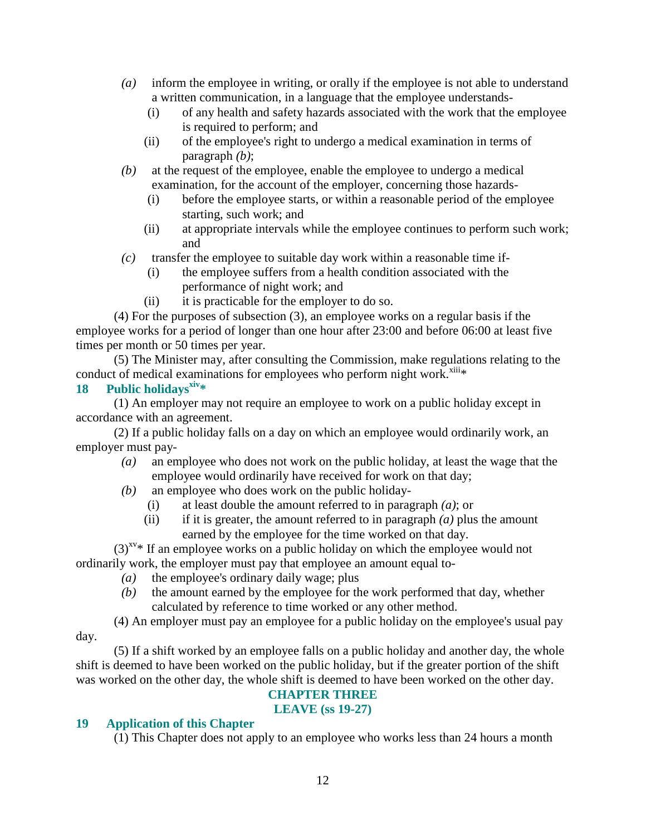- *(a)* inform the employee in writing, or orally if the employee is not able to understand a written communication, in a language that the employee understands-
	- (i) of any health and safety hazards associated with the work that the employee is required to perform; and
	- (ii) of the employee's right to undergo a medical examination in terms of paragraph *(b)*;
- *(b)* at the request of the employee, enable the employee to undergo a medical examination, for the account of the employer, concerning those hazards-
	- (i) before the employee starts, or within a reasonable period of the employee starting, such work; and
	- (ii) at appropriate intervals while the employee continues to perform such work; and
- *(c)* transfer the employee to suitable day work within a reasonable time if-
	- (i) the employee suffers from a health condition associated with the performance of night work; and
	- (ii) it is practicable for the employer to do so.

 (4) For the purposes of subsection (3), an employee works on a regular basis if the employee works for a period of longer than one hour after 23:00 and before 06:00 at least five times per month or 50 times per year.

 (5) The Minister may, after consulting the Commission, make regulations relating to the conduct of medical examinations for employees who perform night work. $x^{x^{x}}$ 

## **18 Public holidaysxiv\***

 (1) An employer may not require an employee to work on a public holiday except in accordance with an agreement.

 (2) If a public holiday falls on a day on which an employee would ordinarily work, an employer must pay-

- *(a)* an employee who does not work on the public holiday, at least the wage that the employee would ordinarily have received for work on that day;
- *(b)* an employee who does work on the public holiday-
	- (i) at least double the amount referred to in paragraph *(a)*; or
	- (ii) if it is greater, the amount referred to in paragraph *(a)* plus the amount earned by the employee for the time worked on that day.

 $(3)^{xy}$  If an employee works on a public holiday on which the employee would not ordinarily work, the employer must pay that employee an amount equal to-

- *(a)* the employee's ordinary daily wage; plus
- *(b)* the amount earned by the employee for the work performed that day, whether calculated by reference to time worked or any other method.
- (4) An employer must pay an employee for a public holiday on the employee's usual pay day.

 (5) If a shift worked by an employee falls on a public holiday and another day, the whole shift is deemed to have been worked on the public holiday, but if the greater portion of the shift was worked on the other day, the whole shift is deemed to have been worked on the other day.

#### **CHAPTER THREE LEAVE (ss 19-27)**

# **19 Application of this Chapter**

(1) This Chapter does not apply to an employee who works less than 24 hours a month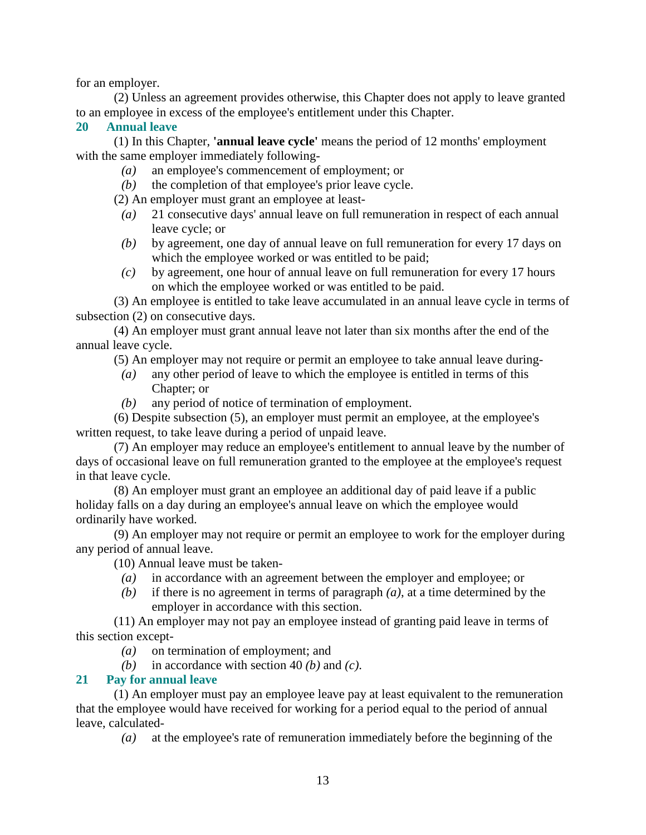for an employer.

 (2) Unless an agreement provides otherwise, this Chapter does not apply to leave granted to an employee in excess of the employee's entitlement under this Chapter.

#### **20 Annual leave**

 (1) In this Chapter, **'annual leave cycle'** means the period of 12 months' employment with the same employer immediately following-

- *(a)* an employee's commencement of employment; or
- *(b)* the completion of that employee's prior leave cycle.

(2) An employer must grant an employee at least-

- *(a)* 21 consecutive days' annual leave on full remuneration in respect of each annual leave cycle; or
- *(b)* by agreement, one day of annual leave on full remuneration for every 17 days on which the employee worked or was entitled to be paid;
- *(c)* by agreement, one hour of annual leave on full remuneration for every 17 hours on which the employee worked or was entitled to be paid.

 (3) An employee is entitled to take leave accumulated in an annual leave cycle in terms of subsection (2) on consecutive days.

 (4) An employer must grant annual leave not later than six months after the end of the annual leave cycle.

(5) An employer may not require or permit an employee to take annual leave during-

- *(a)* any other period of leave to which the employee is entitled in terms of this Chapter; or
- *(b)* any period of notice of termination of employment.

 (6) Despite subsection (5), an employer must permit an employee, at the employee's written request, to take leave during a period of unpaid leave.

 (7) An employer may reduce an employee's entitlement to annual leave by the number of days of occasional leave on full remuneration granted to the employee at the employee's request in that leave cycle.

 (8) An employer must grant an employee an additional day of paid leave if a public holiday falls on a day during an employee's annual leave on which the employee would ordinarily have worked.

 (9) An employer may not require or permit an employee to work for the employer during any period of annual leave.

(10) Annual leave must be taken-

- *(a)* in accordance with an agreement between the employer and employee; or
- *(b)* if there is no agreement in terms of paragraph *(a)*, at a time determined by the employer in accordance with this section.

 (11) An employer may not pay an employee instead of granting paid leave in terms of this section except-

- *(a)* on termination of employment; and
- *(b)* in accordance with section 40 *(b)* and *(c)*.

#### **21 Pay for annual leave**

 (1) An employer must pay an employee leave pay at least equivalent to the remuneration that the employee would have received for working for a period equal to the period of annual leave, calculated-

*(a)* at the employee's rate of remuneration immediately before the beginning of the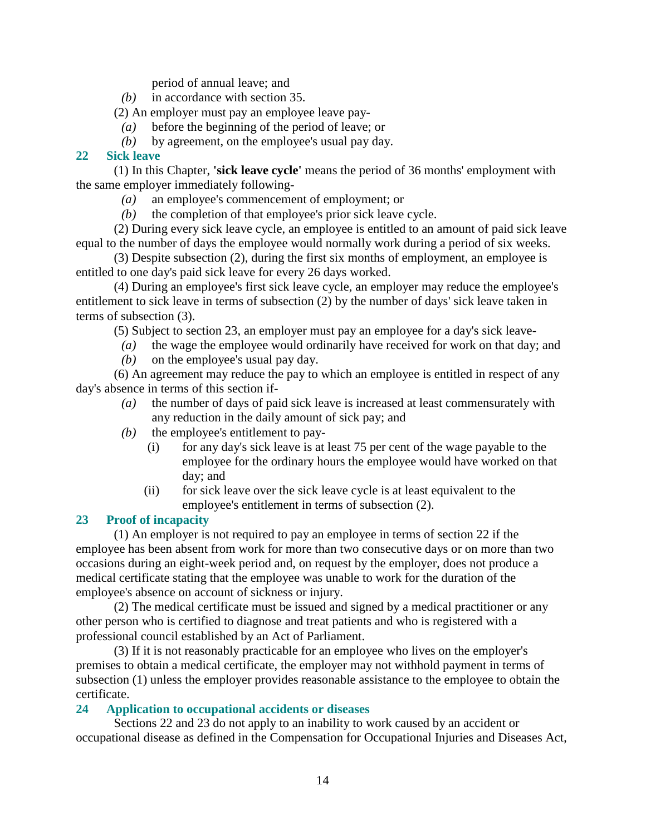period of annual leave; and

- *(b)* in accordance with section 35.
- (2) An employer must pay an employee leave pay-
	- *(a)* before the beginning of the period of leave; or
	- *(b)* by agreement, on the employee's usual pay day.

## **22 Sick leave**

 (1) In this Chapter, **'sick leave cycle'** means the period of 36 months' employment with the same employer immediately following-

- *(a)* an employee's commencement of employment; or
- *(b)* the completion of that employee's prior sick leave cycle.

 (2) During every sick leave cycle, an employee is entitled to an amount of paid sick leave equal to the number of days the employee would normally work during a period of six weeks.

 (3) Despite subsection (2), during the first six months of employment, an employee is entitled to one day's paid sick leave for every 26 days worked.

 (4) During an employee's first sick leave cycle, an employer may reduce the employee's entitlement to sick leave in terms of subsection (2) by the number of days' sick leave taken in terms of subsection (3).

(5) Subject to section 23, an employer must pay an employee for a day's sick leave-

- *(a)* the wage the employee would ordinarily have received for work on that day; and
- *(b)* on the employee's usual pay day.

 (6) An agreement may reduce the pay to which an employee is entitled in respect of any day's absence in terms of this section if-

- *(a)* the number of days of paid sick leave is increased at least commensurately with any reduction in the daily amount of sick pay; and
- *(b)* the employee's entitlement to pay-
	- (i) for any day's sick leave is at least 75 per cent of the wage payable to the employee for the ordinary hours the employee would have worked on that day; and
	- (ii) for sick leave over the sick leave cycle is at least equivalent to the employee's entitlement in terms of subsection (2).

## **23 Proof of incapacity**

 (1) An employer is not required to pay an employee in terms of section 22 if the employee has been absent from work for more than two consecutive days or on more than two occasions during an eight-week period and, on request by the employer, does not produce a medical certificate stating that the employee was unable to work for the duration of the employee's absence on account of sickness or injury.

 (2) The medical certificate must be issued and signed by a medical practitioner or any other person who is certified to diagnose and treat patients and who is registered with a professional council established by an Act of Parliament.

 (3) If it is not reasonably practicable for an employee who lives on the employer's premises to obtain a medical certificate, the employer may not withhold payment in terms of subsection (1) unless the employer provides reasonable assistance to the employee to obtain the certificate.

#### **24 Application to occupational accidents or diseases**

 Sections 22 and 23 do not apply to an inability to work caused by an accident or occupational disease as defined in the Compensation for Occupational Injuries and Diseases Act,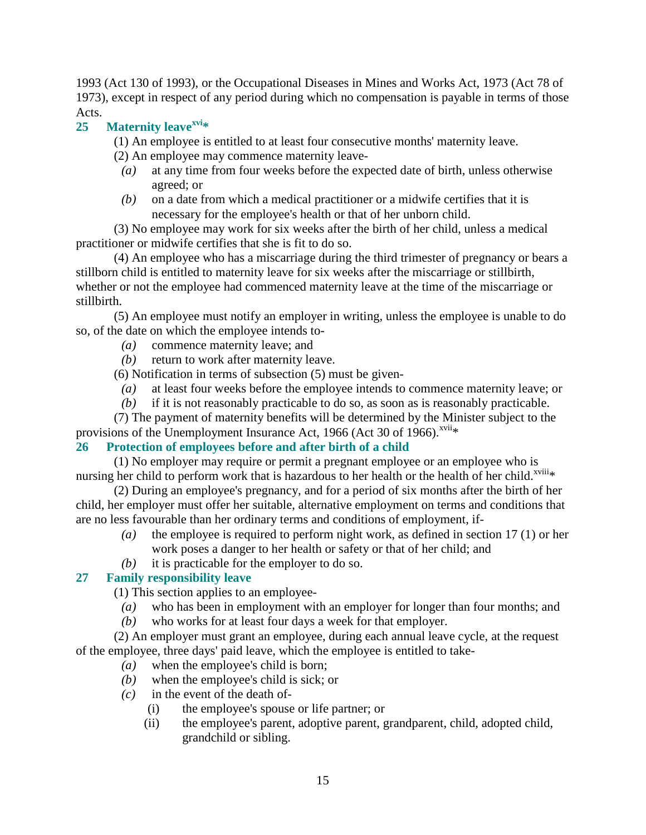1993 (Act 130 of 1993), or the Occupational Diseases in Mines and Works Act, 1973 (Act 78 of 1973), except in respect of any period during which no compensation is payable in terms of those Acts.

# **25 Maternity leavexvi\***

(1) An employee is entitled to at least four consecutive months' maternity leave.

(2) An employee may commence maternity leave-

- *(a)* at any time from four weeks before the expected date of birth, unless otherwise agreed; or
- *(b)* on a date from which a medical practitioner or a midwife certifies that it is necessary for the employee's health or that of her unborn child.

 (3) No employee may work for six weeks after the birth of her child, unless a medical practitioner or midwife certifies that she is fit to do so.

 (4) An employee who has a miscarriage during the third trimester of pregnancy or bears a stillborn child is entitled to maternity leave for six weeks after the miscarriage or stillbirth, whether or not the employee had commenced maternity leave at the time of the miscarriage or stillbirth.

 (5) An employee must notify an employer in writing, unless the employee is unable to do so, of the date on which the employee intends to-

- *(a)* commence maternity leave; and
- *(b)* return to work after maternity leave.

(6) Notification in terms of subsection (5) must be given-

- *(a)* at least four weeks before the employee intends to commence maternity leave; or
- *(b)* if it is not reasonably practicable to do so, as soon as is reasonably practicable.

 (7) The payment of maternity benefits will be determined by the Minister subject to the provisions of the Unemployment Insurance Act, 1966 (Act 30 of 1966).<sup>xvii</sup>\*

# **26 Protection of employees before and after birth of a child**

 (1) No employer may require or permit a pregnant employee or an employee who is nursing her child to perform work that is hazardous to her health or the health of her child.<sup>xviii</sup>\*

 (2) During an employee's pregnancy, and for a period of six months after the birth of her child, her employer must offer her suitable, alternative employment on terms and conditions that are no less favourable than her ordinary terms and conditions of employment, if-

- *(a)* the employee is required to perform night work, as defined in section 17 (1) or her work poses a danger to her health or safety or that of her child; and
- *(b)* it is practicable for the employer to do so.

# **27 Family responsibility leave**

(1) This section applies to an employee-

- *(a)* who has been in employment with an employer for longer than four months; and
- *(b)* who works for at least four days a week for that employer.

 (2) An employer must grant an employee, during each annual leave cycle, at the request of the employee, three days' paid leave, which the employee is entitled to take-

- *(a)* when the employee's child is born;
- *(b)* when the employee's child is sick; or
- *(c)* in the event of the death of-
	- (i) the employee's spouse or life partner; or
	- (ii) the employee's parent, adoptive parent, grandparent, child, adopted child, grandchild or sibling.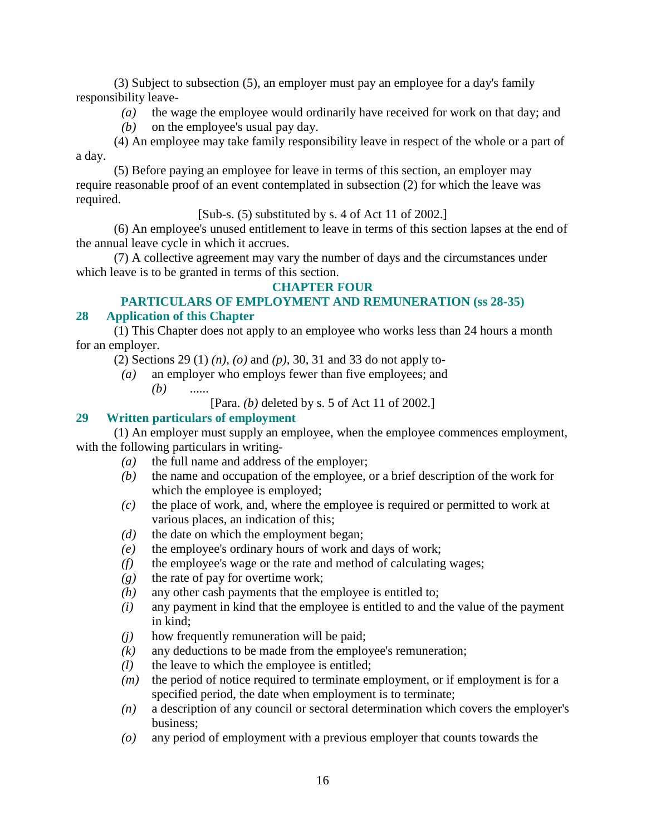(3) Subject to subsection (5), an employer must pay an employee for a day's family responsibility leave-

- *(a)* the wage the employee would ordinarily have received for work on that day; and
- *(b)* on the employee's usual pay day.

 (4) An employee may take family responsibility leave in respect of the whole or a part of a day.

 (5) Before paying an employee for leave in terms of this section, an employer may require reasonable proof of an event contemplated in subsection (2) for which the leave was required.

[Sub-s. (5) substituted by s. 4 of Act 11 of 2002.]

 (6) An employee's unused entitlement to leave in terms of this section lapses at the end of the annual leave cycle in which it accrues.

 (7) A collective agreement may vary the number of days and the circumstances under which leave is to be granted in terms of this section.

## **CHAPTER FOUR**

## **PARTICULARS OF EMPLOYMENT AND REMUNERATION (ss 28-35)**

## **28 Application of this Chapter**

 (1) This Chapter does not apply to an employee who works less than 24 hours a month for an employer.

- (2) Sections 29 (1) *(n)*, *(o)* and *(p)*, 30, 31 and 33 do not apply to-
- *(a)* an employer who employs fewer than five employees; and *(b)* ......

[Para. *(b)* deleted by s. 5 of Act 11 of 2002.]

## **29 Written particulars of employment**

 (1) An employer must supply an employee, when the employee commences employment, with the following particulars in writing-

- *(a)* the full name and address of the employer;
- *(b)* the name and occupation of the employee, or a brief description of the work for which the employee is employed;
- *(c)* the place of work, and, where the employee is required or permitted to work at various places, an indication of this;
- *(d)* the date on which the employment began;
- *(e)* the employee's ordinary hours of work and days of work;
- *(f)* the employee's wage or the rate and method of calculating wages;
- *(g)* the rate of pay for overtime work;
- *(h)* any other cash payments that the employee is entitled to;
- *(i)* any payment in kind that the employee is entitled to and the value of the payment in kind;
- *(j)* how frequently remuneration will be paid;
- *(k)* any deductions to be made from the employee's remuneration;
- *(l)* the leave to which the employee is entitled;
- *(m)* the period of notice required to terminate employment, or if employment is for a specified period, the date when employment is to terminate;
- *(n)* a description of any council or sectoral determination which covers the employer's business;
- *(o)* any period of employment with a previous employer that counts towards the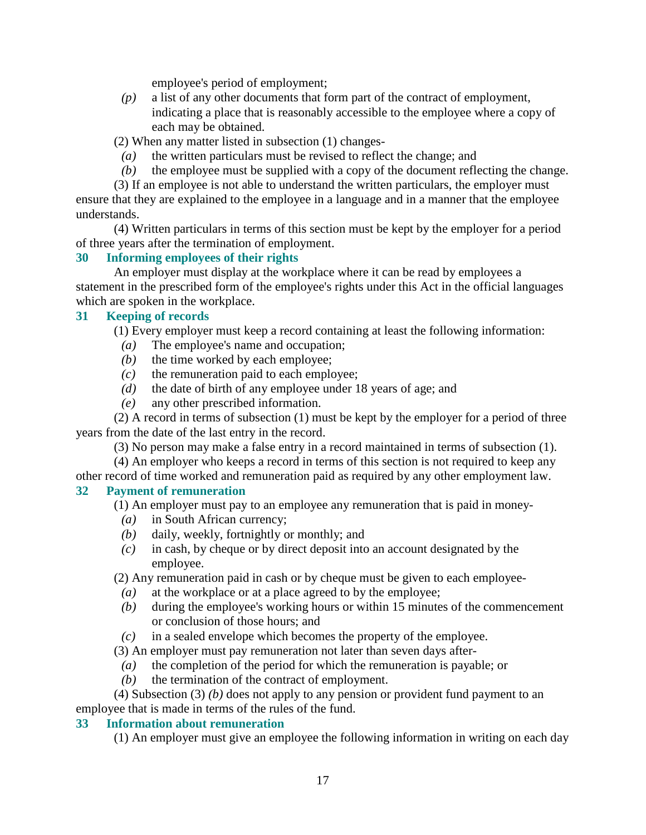employee's period of employment;

 *(p)* a list of any other documents that form part of the contract of employment, indicating a place that is reasonably accessible to the employee where a copy of each may be obtained.

(2) When any matter listed in subsection (1) changes-

- *(a)* the written particulars must be revised to reflect the change; and
- *(b)* the employee must be supplied with a copy of the document reflecting the change.

 (3) If an employee is not able to understand the written particulars, the employer must ensure that they are explained to the employee in a language and in a manner that the employee understands.

 (4) Written particulars in terms of this section must be kept by the employer for a period of three years after the termination of employment.

## **30 Informing employees of their rights**

 An employer must display at the workplace where it can be read by employees a statement in the prescribed form of the employee's rights under this Act in the official languages which are spoken in the workplace.

#### **31 Keeping of records**

(1) Every employer must keep a record containing at least the following information:

- *(a)* The employee's name and occupation;
- *(b)* the time worked by each employee;
- *(c)* the remuneration paid to each employee;
- *(d)* the date of birth of any employee under 18 years of age; and
- *(e)* any other prescribed information.

 (2) A record in terms of subsection (1) must be kept by the employer for a period of three years from the date of the last entry in the record.

(3) No person may make a false entry in a record maintained in terms of subsection (1).

 (4) An employer who keeps a record in terms of this section is not required to keep any other record of time worked and remuneration paid as required by any other employment law.

#### **32 Payment of remuneration**

(1) An employer must pay to an employee any remuneration that is paid in money-

- *(a)* in South African currency;
- *(b)* daily, weekly, fortnightly or monthly; and
- *(c)* in cash, by cheque or by direct deposit into an account designated by the employee.

(2) Any remuneration paid in cash or by cheque must be given to each employee-

- *(a)* at the workplace or at a place agreed to by the employee;
- *(b)* during the employee's working hours or within 15 minutes of the commencement or conclusion of those hours; and
- *(c)* in a sealed envelope which becomes the property of the employee.

(3) An employer must pay remuneration not later than seven days after-

- *(a)* the completion of the period for which the remuneration is payable; or
- *(b)* the termination of the contract of employment.

 (4) Subsection (3) *(b)* does not apply to any pension or provident fund payment to an employee that is made in terms of the rules of the fund.

#### **33 Information about remuneration**

(1) An employer must give an employee the following information in writing on each day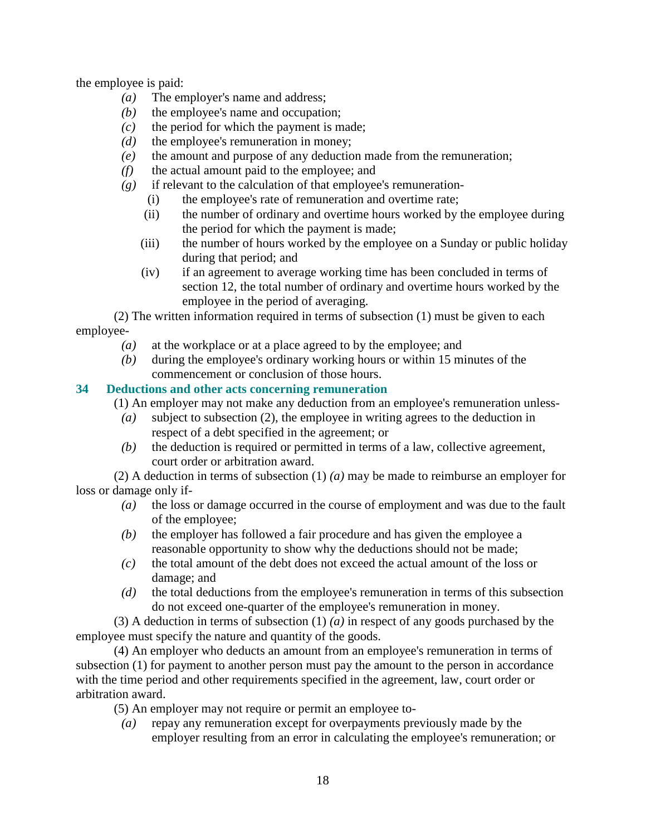the employee is paid:

- *(a)* The employer's name and address;
- *(b)* the employee's name and occupation;
- $(c)$  the period for which the payment is made;
- *(d)* the employee's remuneration in money;
- *(e)* the amount and purpose of any deduction made from the remuneration;
- *(f)* the actual amount paid to the employee; and
- *(g)* if relevant to the calculation of that employee's remuneration-
	- (i) the employee's rate of remuneration and overtime rate;
	- (ii) the number of ordinary and overtime hours worked by the employee during the period for which the payment is made;
	- (iii) the number of hours worked by the employee on a Sunday or public holiday during that period; and
	- (iv) if an agreement to average working time has been concluded in terms of section 12, the total number of ordinary and overtime hours worked by the employee in the period of averaging.

 (2) The written information required in terms of subsection (1) must be given to each employee-

- *(a)* at the workplace or at a place agreed to by the employee; and
- *(b)* during the employee's ordinary working hours or within 15 minutes of the commencement or conclusion of those hours.

# **34 Deductions and other acts concerning remuneration**

(1) An employer may not make any deduction from an employee's remuneration unless-

- *(a)* subject to subsection (2), the employee in writing agrees to the deduction in respect of a debt specified in the agreement; or
- *(b)* the deduction is required or permitted in terms of a law, collective agreement, court order or arbitration award.

 (2) A deduction in terms of subsection (1) *(a)* may be made to reimburse an employer for loss or damage only if-

- *(a)* the loss or damage occurred in the course of employment and was due to the fault of the employee;
- *(b)* the employer has followed a fair procedure and has given the employee a reasonable opportunity to show why the deductions should not be made;
- *(c)* the total amount of the debt does not exceed the actual amount of the loss or damage; and
- *(d)* the total deductions from the employee's remuneration in terms of this subsection do not exceed one-quarter of the employee's remuneration in money.

 (3) A deduction in terms of subsection (1) *(a)* in respect of any goods purchased by the employee must specify the nature and quantity of the goods.

 (4) An employer who deducts an amount from an employee's remuneration in terms of subsection (1) for payment to another person must pay the amount to the person in accordance with the time period and other requirements specified in the agreement, law, court order or arbitration award.

(5) An employer may not require or permit an employee to-

 *(a)* repay any remuneration except for overpayments previously made by the employer resulting from an error in calculating the employee's remuneration; or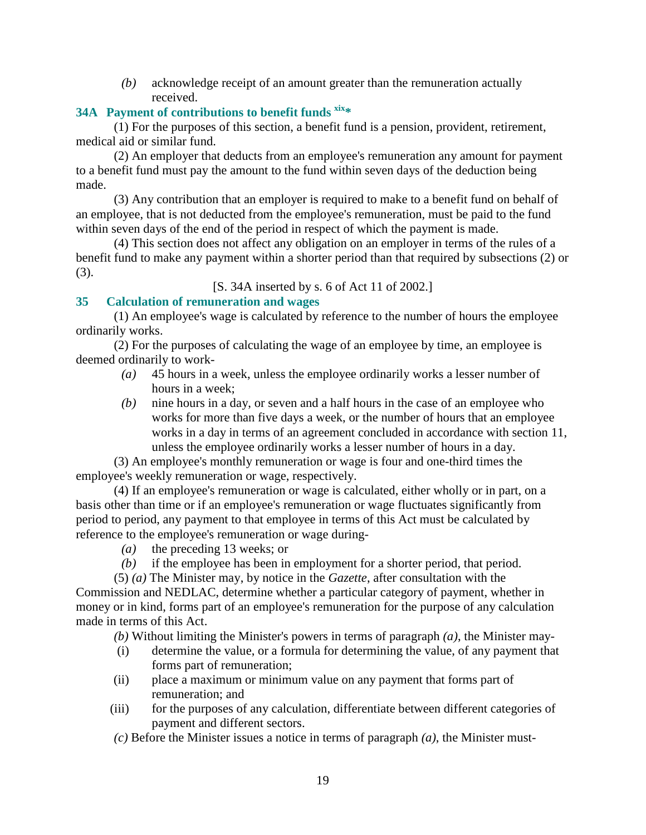*(b)* acknowledge receipt of an amount greater than the remuneration actually received.

# **34A Payment of contributions to benefit funds xix\***

 (1) For the purposes of this section, a benefit fund is a pension, provident, retirement, medical aid or similar fund.

 (2) An employer that deducts from an employee's remuneration any amount for payment to a benefit fund must pay the amount to the fund within seven days of the deduction being made.

 (3) Any contribution that an employer is required to make to a benefit fund on behalf of an employee, that is not deducted from the employee's remuneration, must be paid to the fund within seven days of the end of the period in respect of which the payment is made.

 (4) This section does not affect any obligation on an employer in terms of the rules of a benefit fund to make any payment within a shorter period than that required by subsections (2) or (3).

[S. 34A inserted by s. 6 of Act 11 of 2002.]

## **35 Calculation of remuneration and wages**

 (1) An employee's wage is calculated by reference to the number of hours the employee ordinarily works.

 (2) For the purposes of calculating the wage of an employee by time, an employee is deemed ordinarily to work-

- *(a)* 45 hours in a week, unless the employee ordinarily works a lesser number of hours in a week;
- *(b)* nine hours in a day, or seven and a half hours in the case of an employee who works for more than five days a week, or the number of hours that an employee works in a day in terms of an agreement concluded in accordance with section 11, unless the employee ordinarily works a lesser number of hours in a day.

 (3) An employee's monthly remuneration or wage is four and one-third times the employee's weekly remuneration or wage, respectively.

 (4) If an employee's remuneration or wage is calculated, either wholly or in part, on a basis other than time or if an employee's remuneration or wage fluctuates significantly from period to period, any payment to that employee in terms of this Act must be calculated by reference to the employee's remuneration or wage during-

- *(a)* the preceding 13 weeks; or
- *(b)* if the employee has been in employment for a shorter period, that period.

 (5) *(a)* The Minister may, by notice in the *Gazette*, after consultation with the Commission and NEDLAC, determine whether a particular category of payment, whether in money or in kind, forms part of an employee's remuneration for the purpose of any calculation made in terms of this Act.

*(b)* Without limiting the Minister's powers in terms of paragraph *(a)*, the Minister may-

- (i) determine the value, or a formula for determining the value, of any payment that forms part of remuneration;
- (ii) place a maximum or minimum value on any payment that forms part of remuneration; and
- (iii) for the purposes of any calculation, differentiate between different categories of payment and different sectors.
- *(c)* Before the Minister issues a notice in terms of paragraph *(a)*, the Minister must-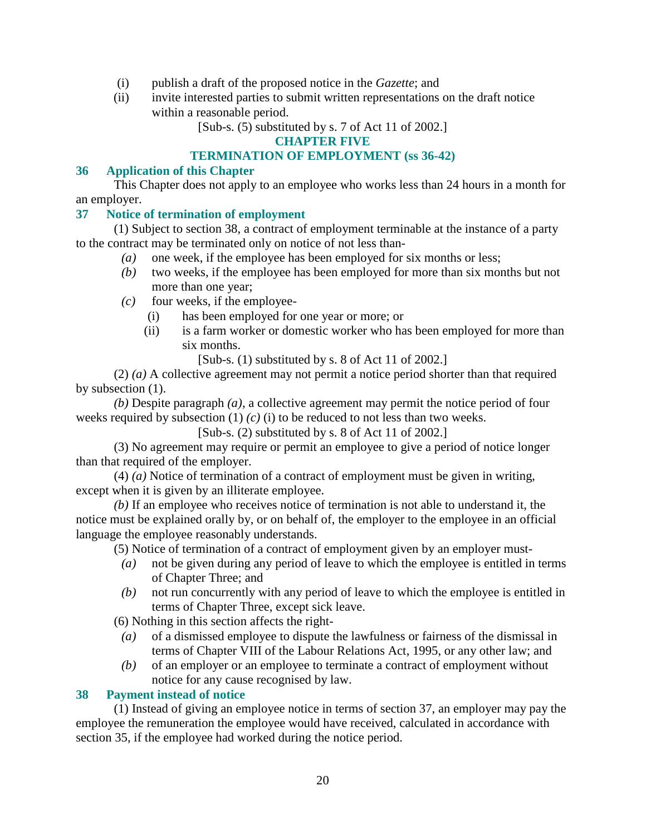- (i) publish a draft of the proposed notice in the *Gazette*; and
- (ii) invite interested parties to submit written representations on the draft notice within a reasonable period.

[Sub-s. (5) substituted by s. 7 of Act 11 of 2002.]

## **CHAPTER FIVE**

## **TERMINATION OF EMPLOYMENT (ss 36-42)**

## **36 Application of this Chapter**

 This Chapter does not apply to an employee who works less than 24 hours in a month for an employer.

## **37 Notice of termination of employment**

 (1) Subject to section 38, a contract of employment terminable at the instance of a party to the contract may be terminated only on notice of not less than-

- *(a)* one week, if the employee has been employed for six months or less;
- *(b)* two weeks, if the employee has been employed for more than six months but not more than one year;
- $(c)$  four weeks, if the employee-
	- (i) has been employed for one year or more; or
	- (ii) is a farm worker or domestic worker who has been employed for more than six months.
		- [Sub-s. (1) substituted by s. 8 of Act 11 of 2002.]

 (2) *(a)* A collective agreement may not permit a notice period shorter than that required by subsection (1).

*(b)* Despite paragraph *(a)*, a collective agreement may permit the notice period of four weeks required by subsection (1) *(c)* (i) to be reduced to not less than two weeks.

[Sub-s. (2) substituted by s. 8 of Act 11 of 2002.]

 (3) No agreement may require or permit an employee to give a period of notice longer than that required of the employer.

 (4) *(a)* Notice of termination of a contract of employment must be given in writing, except when it is given by an illiterate employee.

*(b)* If an employee who receives notice of termination is not able to understand it, the notice must be explained orally by, or on behalf of, the employer to the employee in an official language the employee reasonably understands.

(5) Notice of termination of a contract of employment given by an employer must-

- *(a)* not be given during any period of leave to which the employee is entitled in terms of Chapter Three; and
- *(b)* not run concurrently with any period of leave to which the employee is entitled in terms of Chapter Three, except sick leave.

(6) Nothing in this section affects the right-

- *(a)* of a dismissed employee to dispute the lawfulness or fairness of the dismissal in terms of Chapter VIII of the Labour Relations Act, 1995, or any other law; and
- *(b)* of an employer or an employee to terminate a contract of employment without notice for any cause recognised by law.

# **38 Payment instead of notice**

 (1) Instead of giving an employee notice in terms of section 37, an employer may pay the employee the remuneration the employee would have received, calculated in accordance with section 35, if the employee had worked during the notice period.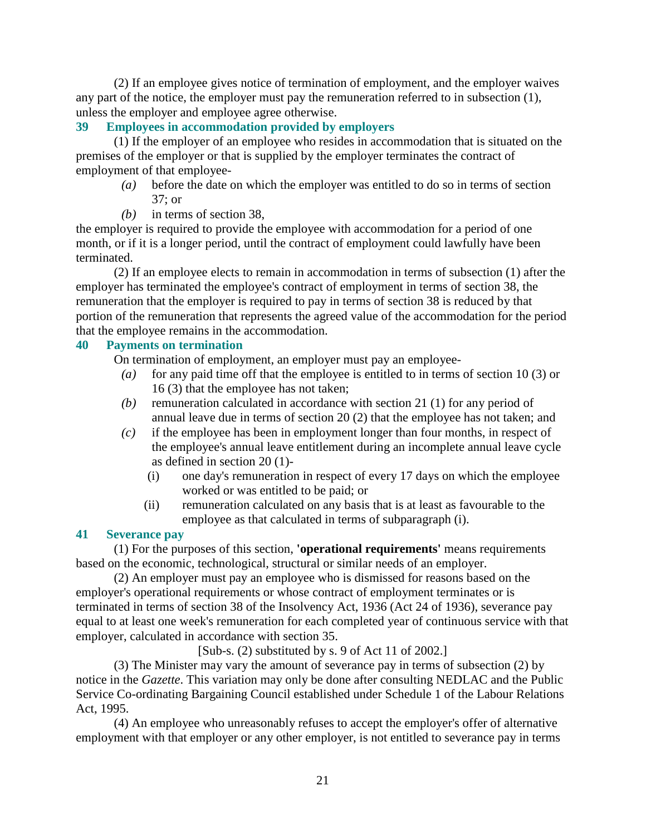(2) If an employee gives notice of termination of employment, and the employer waives any part of the notice, the employer must pay the remuneration referred to in subsection (1), unless the employer and employee agree otherwise.

## **39 Employees in accommodation provided by employers**

 (1) If the employer of an employee who resides in accommodation that is situated on the premises of the employer or that is supplied by the employer terminates the contract of employment of that employee-

- *(a)* before the date on which the employer was entitled to do so in terms of section 37; or
- *(b)* in terms of section 38,

the employer is required to provide the employee with accommodation for a period of one month, or if it is a longer period, until the contract of employment could lawfully have been terminated.

 (2) If an employee elects to remain in accommodation in terms of subsection (1) after the employer has terminated the employee's contract of employment in terms of section 38, the remuneration that the employer is required to pay in terms of section 38 is reduced by that portion of the remuneration that represents the agreed value of the accommodation for the period that the employee remains in the accommodation.

# **40 Payments on termination**

On termination of employment, an employer must pay an employee-

- *(a)* for any paid time off that the employee is entitled to in terms of section 10 (3) or 16 (3) that the employee has not taken;
- *(b)* remuneration calculated in accordance with section 21 (1) for any period of annual leave due in terms of section 20 (2) that the employee has not taken; and
- *(c)* if the employee has been in employment longer than four months, in respect of the employee's annual leave entitlement during an incomplete annual leave cycle as defined in section 20 (1)-
	- (i) one day's remuneration in respect of every 17 days on which the employee worked or was entitled to be paid; or
	- (ii) remuneration calculated on any basis that is at least as favourable to the employee as that calculated in terms of subparagraph (i).

## **41 Severance pay**

 (1) For the purposes of this section, **'operational requirements'** means requirements based on the economic, technological, structural or similar needs of an employer.

 (2) An employer must pay an employee who is dismissed for reasons based on the employer's operational requirements or whose contract of employment terminates or is terminated in terms of section 38 of the Insolvency Act, 1936 (Act 24 of 1936), severance pay equal to at least one week's remuneration for each completed year of continuous service with that employer, calculated in accordance with section 35.

[Sub-s. (2) substituted by s. 9 of Act 11 of 2002.]

 (3) The Minister may vary the amount of severance pay in terms of subsection (2) by notice in the *Gazette*. This variation may only be done after consulting NEDLAC and the Public Service Co-ordinating Bargaining Council established under Schedule 1 of the Labour Relations Act, 1995.

 (4) An employee who unreasonably refuses to accept the employer's offer of alternative employment with that employer or any other employer, is not entitled to severance pay in terms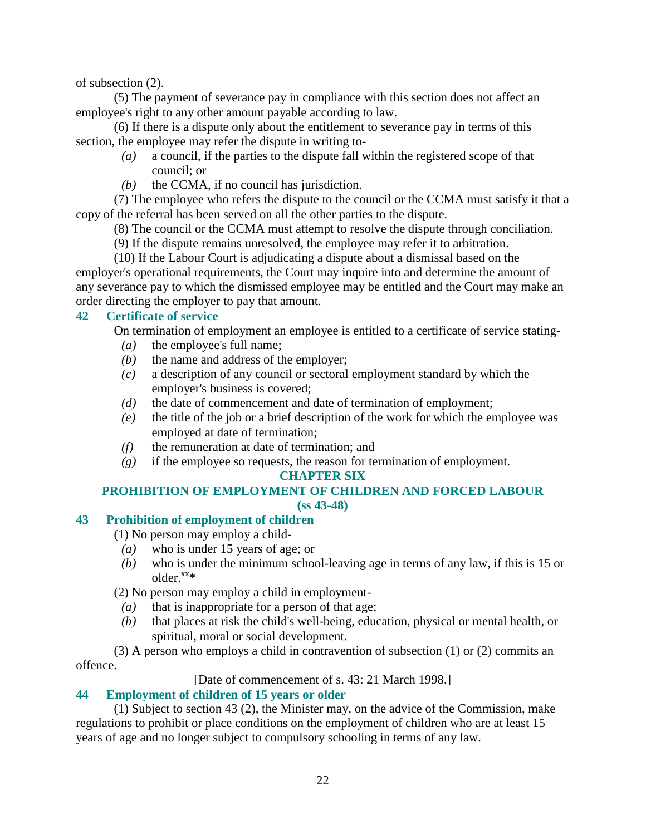of subsection (2).

 (5) The payment of severance pay in compliance with this section does not affect an employee's right to any other amount payable according to law.

 (6) If there is a dispute only about the entitlement to severance pay in terms of this section, the employee may refer the dispute in writing to-

- *(a)* a council, if the parties to the dispute fall within the registered scope of that council; or
- *(b)* the CCMA, if no council has jurisdiction.

 (7) The employee who refers the dispute to the council or the CCMA must satisfy it that a copy of the referral has been served on all the other parties to the dispute.

(8) The council or the CCMA must attempt to resolve the dispute through conciliation.

(9) If the dispute remains unresolved, the employee may refer it to arbitration.

 (10) If the Labour Court is adjudicating a dispute about a dismissal based on the employer's operational requirements, the Court may inquire into and determine the amount of any severance pay to which the dismissed employee may be entitled and the Court may make an order directing the employer to pay that amount.

#### **42 Certificate of service**

On termination of employment an employee is entitled to a certificate of service stating-

- *(a)* the employee's full name;
- *(b)* the name and address of the employer;
- *(c)* a description of any council or sectoral employment standard by which the employer's business is covered;
- *(d)* the date of commencement and date of termination of employment;
- *(e)* the title of the job or a brief description of the work for which the employee was employed at date of termination;
- *(f)* the remuneration at date of termination; and
- *(g)* if the employee so requests, the reason for termination of employment.

#### **CHAPTER SIX**

#### **PROHIBITION OF EMPLOYMENT OF CHILDREN AND FORCED LABOUR (ss 43-48)**

## **43 Prohibition of employment of children**

(1) No person may employ a child-

- *(a)* who is under 15 years of age; or
- *(b)* who is under the minimum school-leaving age in terms of any law, if this is 15 or  $older.^{XX*}$

(2) No person may employ a child in employment-

- *(a)* that is inappropriate for a person of that age;
- *(b)* that places at risk the child's well-being, education, physical or mental health, or spiritual, moral or social development.

 (3) A person who employs a child in contravention of subsection (1) or (2) commits an offence.

[Date of commencement of s. 43: 21 March 1998.]

#### **44 Employment of children of 15 years or older**

 (1) Subject to section 43 (2), the Minister may, on the advice of the Commission, make regulations to prohibit or place conditions on the employment of children who are at least 15 years of age and no longer subject to compulsory schooling in terms of any law.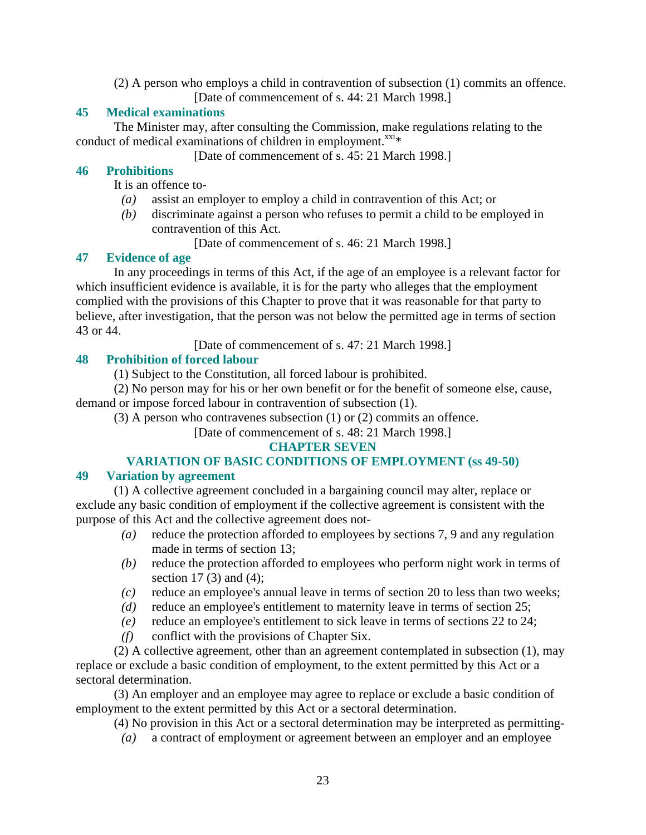(2) A person who employs a child in contravention of subsection (1) commits an offence. [Date of commencement of s. 44: 21 March 1998.]

## **45 Medical examinations**

 The Minister may, after consulting the Commission, make regulations relating to the conduct of medical examinations of children in employment. $^{xxi*}$ 

[Date of commencement of s. 45: 21 March 1998.]

## **46 Prohibitions**

It is an offence to-

- *(a)* assist an employer to employ a child in contravention of this Act; or
- *(b)* discriminate against a person who refuses to permit a child to be employed in contravention of this Act.
	- [Date of commencement of s. 46: 21 March 1998.]

# **47 Evidence of age**

 In any proceedings in terms of this Act, if the age of an employee is a relevant factor for which insufficient evidence is available, it is for the party who alleges that the employment complied with the provisions of this Chapter to prove that it was reasonable for that party to believe, after investigation, that the person was not below the permitted age in terms of section 43 or 44.

[Date of commencement of s. 47: 21 March 1998.]

# **48 Prohibition of forced labour**

(1) Subject to the Constitution, all forced labour is prohibited.

 (2) No person may for his or her own benefit or for the benefit of someone else, cause, demand or impose forced labour in contravention of subsection (1).

(3) A person who contravenes subsection (1) or (2) commits an offence.

# [Date of commencement of s. 48: 21 March 1998.]

# **CHAPTER SEVEN**

# **VARIATION OF BASIC CONDITIONS OF EMPLOYMENT (ss 49-50)**

# **49 Variation by agreement**

 (1) A collective agreement concluded in a bargaining council may alter, replace or exclude any basic condition of employment if the collective agreement is consistent with the purpose of this Act and the collective agreement does not-

- *(a)* reduce the protection afforded to employees by sections 7, 9 and any regulation made in terms of section 13;
- *(b)* reduce the protection afforded to employees who perform night work in terms of section 17 $(3)$  and  $(4)$ ;
- *(c)* reduce an employee's annual leave in terms of section 20 to less than two weeks;
- *(d)* reduce an employee's entitlement to maternity leave in terms of section 25;
- *(e)* reduce an employee's entitlement to sick leave in terms of sections 22 to 24;
- *(f)* conflict with the provisions of Chapter Six.

 (2) A collective agreement, other than an agreement contemplated in subsection (1), may replace or exclude a basic condition of employment, to the extent permitted by this Act or a sectoral determination.

 (3) An employer and an employee may agree to replace or exclude a basic condition of employment to the extent permitted by this Act or a sectoral determination.

(4) No provision in this Act or a sectoral determination may be interpreted as permitting-

*(a)* a contract of employment or agreement between an employer and an employee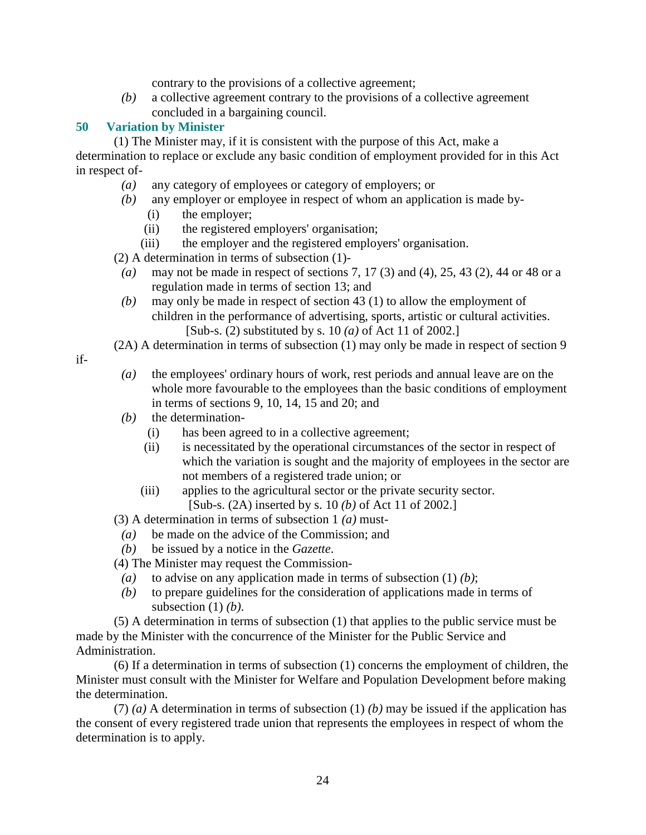contrary to the provisions of a collective agreement;

 *(b)* a collective agreement contrary to the provisions of a collective agreement concluded in a bargaining council.

#### **50 Variation by Minister**

 (1) The Minister may, if it is consistent with the purpose of this Act, make a determination to replace or exclude any basic condition of employment provided for in this Act in respect of-

- *(a)* any category of employees or category of employers; or
- *(b)* any employer or employee in respect of whom an application is made by-
	- (i) the employer;
	- (ii) the registered employers' organisation;
	- (iii) the employer and the registered employers' organisation.

(2) A determination in terms of subsection (1)-

- *(a)* may not be made in respect of sections 7, 17 (3) and (4), 25, 43 (2), 44 or 48 or a regulation made in terms of section 13; and
- *(b)* may only be made in respect of section 43 (1) to allow the employment of children in the performance of advertising, sports, artistic or cultural activities. [Sub-s. (2) substituted by s. 10 *(a)* of Act 11 of 2002.]
- (2A) A determination in terms of subsection (1) may only be made in respect of section 9

if-

- *(a)* the employees' ordinary hours of work, rest periods and annual leave are on the whole more favourable to the employees than the basic conditions of employment in terms of sections 9, 10, 14, 15 and 20; and
- *(b)* the determination-
	- (i) has been agreed to in a collective agreement;
	- (ii) is necessitated by the operational circumstances of the sector in respect of which the variation is sought and the majority of employees in the sector are not members of a registered trade union; or
	- (iii) applies to the agricultural sector or the private security sector. [Sub-s. (2A) inserted by s. 10 *(b)* of Act 11 of 2002.]

(3) A determination in terms of subsection 1 *(a)* must-

- *(a)* be made on the advice of the Commission; and
- *(b)* be issued by a notice in the *Gazette*.
- (4) The Minister may request the Commission-
	- *(a)* to advise on any application made in terms of subsection (1) *(b)*;
	- *(b)* to prepare guidelines for the consideration of applications made in terms of subsection (1) *(b)*.

 (5) A determination in terms of subsection (1) that applies to the public service must be made by the Minister with the concurrence of the Minister for the Public Service and Administration.

 (6) If a determination in terms of subsection (1) concerns the employment of children, the Minister must consult with the Minister for Welfare and Population Development before making the determination.

 (7) *(a)* A determination in terms of subsection (1) *(b)* may be issued if the application has the consent of every registered trade union that represents the employees in respect of whom the determination is to apply.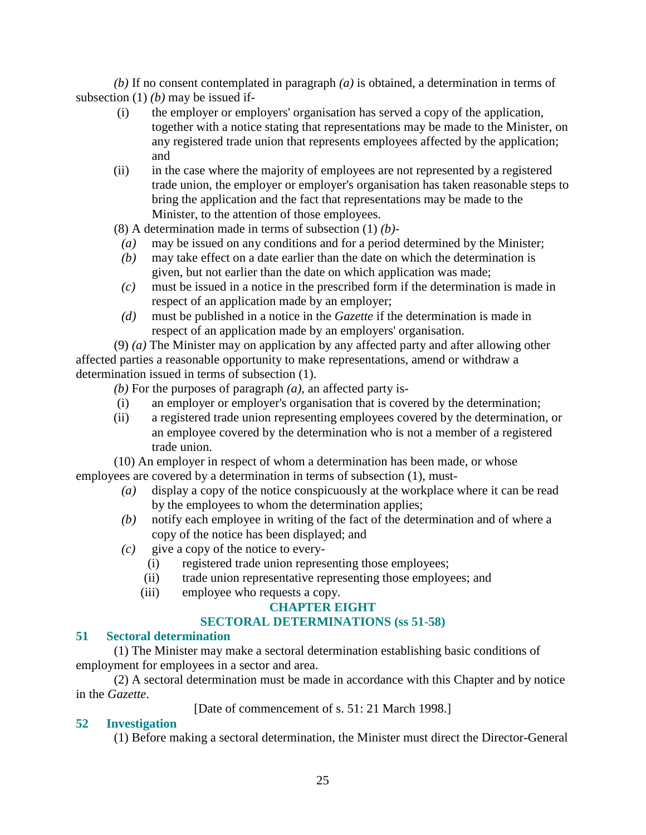*(b)* If no consent contemplated in paragraph *(a)* is obtained, a determination in terms of subsection (1) *(b)* may be issued if-

- (i) the employer or employers' organisation has served a copy of the application, together with a notice stating that representations may be made to the Minister, on any registered trade union that represents employees affected by the application; and
- (ii) in the case where the majority of employees are not represented by a registered trade union, the employer or employer's organisation has taken reasonable steps to bring the application and the fact that representations may be made to the Minister, to the attention of those employees.

(8) A determination made in terms of subsection (1) *(b)*-

- *(a)* may be issued on any conditions and for a period determined by the Minister;
- *(b)* may take effect on a date earlier than the date on which the determination is given, but not earlier than the date on which application was made;
- *(c)* must be issued in a notice in the prescribed form if the determination is made in respect of an application made by an employer;
- *(d)* must be published in a notice in the *Gazette* if the determination is made in respect of an application made by an employers' organisation.

 (9) *(a)* The Minister may on application by any affected party and after allowing other affected parties a reasonable opportunity to make representations, amend or withdraw a determination issued in terms of subsection (1).

*(b)* For the purposes of paragraph *(a)*, an affected party is-

- (i) an employer or employer's organisation that is covered by the determination;
- (ii) a registered trade union representing employees covered by the determination, or an employee covered by the determination who is not a member of a registered trade union.

 (10) An employer in respect of whom a determination has been made, or whose employees are covered by a determination in terms of subsection (1), must-

- *(a)* display a copy of the notice conspicuously at the workplace where it can be read by the employees to whom the determination applies;
- *(b)* notify each employee in writing of the fact of the determination and of where a copy of the notice has been displayed; and
- *(c)* give a copy of the notice to every-
	- (i) registered trade union representing those employees;
	- (ii) trade union representative representing those employees; and
	- (iii) employee who requests a copy.

## **CHAPTER EIGHT**

## **SECTORAL DETERMINATIONS (ss 51-58)**

## **51 Sectoral determination**

 (1) The Minister may make a sectoral determination establishing basic conditions of employment for employees in a sector and area.

 (2) A sectoral determination must be made in accordance with this Chapter and by notice in the *Gazette*.

[Date of commencement of s. 51: 21 March 1998.]

## **52 Investigation**

(1) Before making a sectoral determination, the Minister must direct the Director-General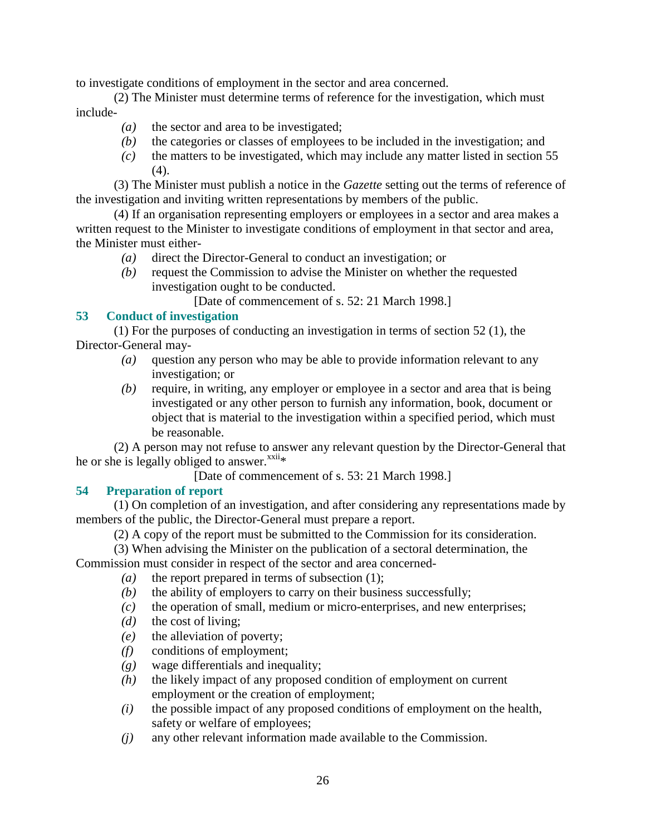to investigate conditions of employment in the sector and area concerned.

 (2) The Minister must determine terms of reference for the investigation, which must include-

- *(a)* the sector and area to be investigated;
- *(b)* the categories or classes of employees to be included in the investigation; and
- *(c)* the matters to be investigated, which may include any matter listed in section 55 (4).

 (3) The Minister must publish a notice in the *Gazette* setting out the terms of reference of the investigation and inviting written representations by members of the public.

 (4) If an organisation representing employers or employees in a sector and area makes a written request to the Minister to investigate conditions of employment in that sector and area, the Minister must either-

- *(a)* direct the Director-General to conduct an investigation; or
- *(b)* request the Commission to advise the Minister on whether the requested investigation ought to be conducted.

[Date of commencement of s. 52: 21 March 1998.]

## **53 Conduct of investigation**

 (1) For the purposes of conducting an investigation in terms of section 52 (1), the Director-General may-

- *(a)* question any person who may be able to provide information relevant to any investigation; or
- *(b)* require, in writing, any employer or employee in a sector and area that is being investigated or any other person to furnish any information, book, document or object that is material to the investigation within a specified period, which must be reasonable.

 (2) A person may not refuse to answer any relevant question by the Director-General that he or she is legally obliged to answer. $x^{\text{xxii}}*$ 

[Date of commencement of s. 53: 21 March 1998.]

## **54 Preparation of report**

 (1) On completion of an investigation, and after considering any representations made by members of the public, the Director-General must prepare a report.

(2) A copy of the report must be submitted to the Commission for its consideration.

(3) When advising the Minister on the publication of a sectoral determination, the

Commission must consider in respect of the sector and area concerned-

- *(a)* the report prepared in terms of subsection (1);
- *(b)* the ability of employers to carry on their business successfully;
- *(c)* the operation of small, medium or micro-enterprises, and new enterprises;
- *(d)* the cost of living;
- *(e)* the alleviation of poverty;
- *(f)* conditions of employment;
- *(g)* wage differentials and inequality;
- *(h)* the likely impact of any proposed condition of employment on current employment or the creation of employment;
- *(i)* the possible impact of any proposed conditions of employment on the health, safety or welfare of employees;
- *(j)* any other relevant information made available to the Commission.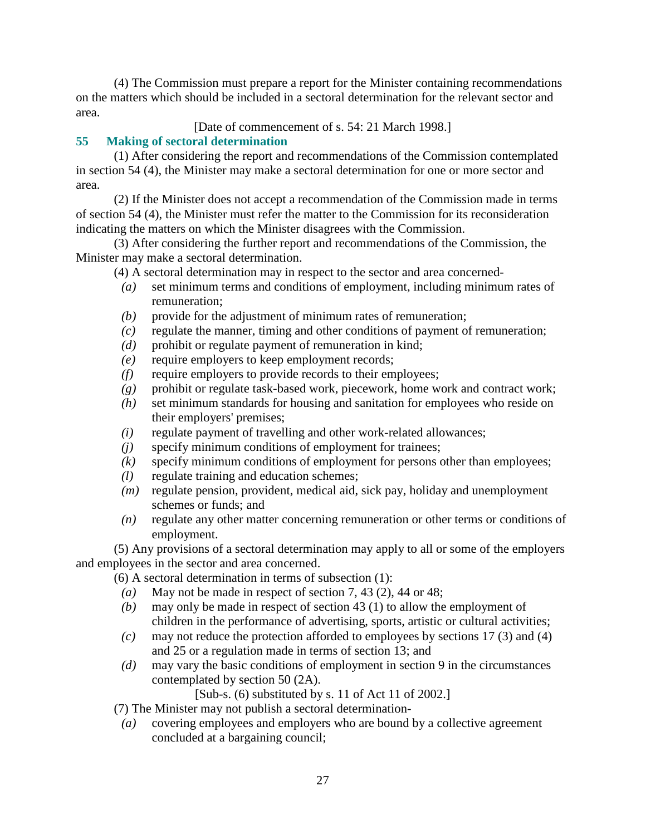(4) The Commission must prepare a report for the Minister containing recommendations on the matters which should be included in a sectoral determination for the relevant sector and area.

[Date of commencement of s. 54: 21 March 1998.]

# **55 Making of sectoral determination**

 (1) After considering the report and recommendations of the Commission contemplated in section 54 (4), the Minister may make a sectoral determination for one or more sector and area.

 (2) If the Minister does not accept a recommendation of the Commission made in terms of section 54 (4), the Minister must refer the matter to the Commission for its reconsideration indicating the matters on which the Minister disagrees with the Commission.

 (3) After considering the further report and recommendations of the Commission, the Minister may make a sectoral determination.

- (4) A sectoral determination may in respect to the sector and area concerned-
	- *(a)* set minimum terms and conditions of employment, including minimum rates of remuneration;
	- *(b)* provide for the adjustment of minimum rates of remuneration;
	- *(c)* regulate the manner, timing and other conditions of payment of remuneration;
	- *(d)* prohibit or regulate payment of remuneration in kind;
	- *(e)* require employers to keep employment records;
	- *(f)* require employers to provide records to their employees;
	- *(g)* prohibit or regulate task-based work, piecework, home work and contract work;
	- *(h)* set minimum standards for housing and sanitation for employees who reside on their employers' premises;
	- *(i)* regulate payment of travelling and other work-related allowances;
	- *(j)* specify minimum conditions of employment for trainees;
- *(k)* specify minimum conditions of employment for persons other than employees;
- *(l)* regulate training and education schemes;
- *(m)* regulate pension, provident, medical aid, sick pay, holiday and unemployment schemes or funds; and
- *(n)* regulate any other matter concerning remuneration or other terms or conditions of employment.

 (5) Any provisions of a sectoral determination may apply to all or some of the employers and employees in the sector and area concerned.

(6) A sectoral determination in terms of subsection (1):

- *(a)* May not be made in respect of section 7, 43 (2), 44 or 48;
- *(b)* may only be made in respect of section 43 (1) to allow the employment of children in the performance of advertising, sports, artistic or cultural activities;
- *(c)* may not reduce the protection afforded to employees by sections 17 (3) and (4) and 25 or a regulation made in terms of section 13; and
- *(d)* may vary the basic conditions of employment in section 9 in the circumstances contemplated by section 50 (2A).

[Sub-s. (6) substituted by s. 11 of Act 11 of 2002.]

(7) The Minister may not publish a sectoral determination-

 *(a)* covering employees and employers who are bound by a collective agreement concluded at a bargaining council;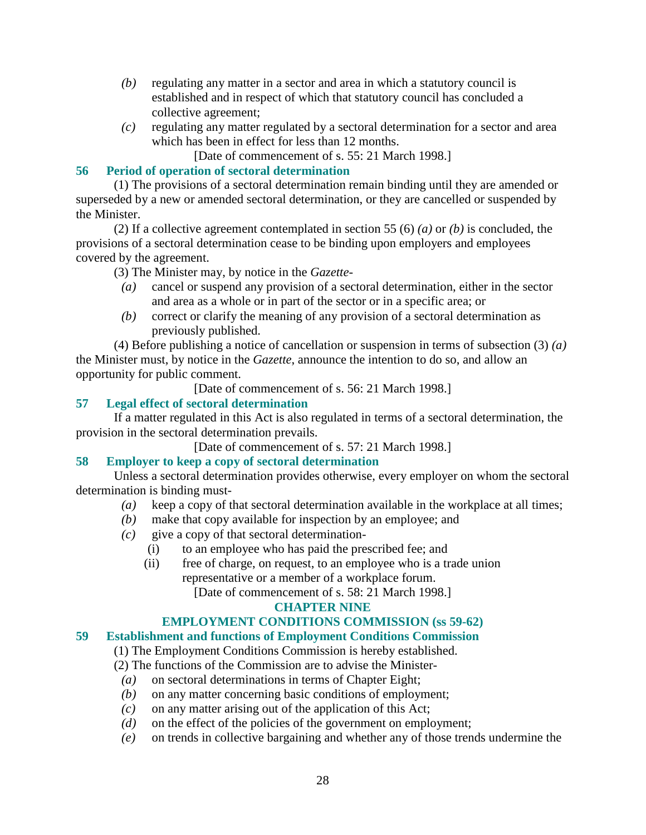- *(b)* regulating any matter in a sector and area in which a statutory council is established and in respect of which that statutory council has concluded a collective agreement;
- *(c)* regulating any matter regulated by a sectoral determination for a sector and area which has been in effect for less than 12 months.
	- [Date of commencement of s. 55: 21 March 1998.]

## **56 Period of operation of sectoral determination**

 (1) The provisions of a sectoral determination remain binding until they are amended or superseded by a new or amended sectoral determination, or they are cancelled or suspended by the Minister.

 (2) If a collective agreement contemplated in section 55 (6) *(a)* or *(b)* is concluded, the provisions of a sectoral determination cease to be binding upon employers and employees covered by the agreement.

(3) The Minister may, by notice in the *Gazette*-

- *(a)* cancel or suspend any provision of a sectoral determination, either in the sector and area as a whole or in part of the sector or in a specific area; or
- *(b)* correct or clarify the meaning of any provision of a sectoral determination as previously published.

 (4) Before publishing a notice of cancellation or suspension in terms of subsection (3) *(a)* the Minister must, by notice in the *Gazette*, announce the intention to do so, and allow an opportunity for public comment.

[Date of commencement of s. 56: 21 March 1998.]

## **57 Legal effect of sectoral determination**

 If a matter regulated in this Act is also regulated in terms of a sectoral determination, the provision in the sectoral determination prevails.

[Date of commencement of s. 57: 21 March 1998.]

#### **58 Employer to keep a copy of sectoral determination**

 Unless a sectoral determination provides otherwise, every employer on whom the sectoral determination is binding must-

- *(a)* keep a copy of that sectoral determination available in the workplace at all times;
- *(b)* make that copy available for inspection by an employee; and
- $(c)$  give a copy of that sectoral determination-
	- (i) to an employee who has paid the prescribed fee; and
	- (ii) free of charge, on request, to an employee who is a trade union representative or a member of a workplace forum.

[Date of commencement of s. 58: 21 March 1998.]

#### **CHAPTER NINE**

## **EMPLOYMENT CONDITIONS COMMISSION (ss 59-62)**

## **59 Establishment and functions of Employment Conditions Commission**

(1) The Employment Conditions Commission is hereby established.

(2) The functions of the Commission are to advise the Minister-

- *(a)* on sectoral determinations in terms of Chapter Eight;
- *(b)* on any matter concerning basic conditions of employment;
- *(c)* on any matter arising out of the application of this Act;
- *(d)* on the effect of the policies of the government on employment;
- *(e)* on trends in collective bargaining and whether any of those trends undermine the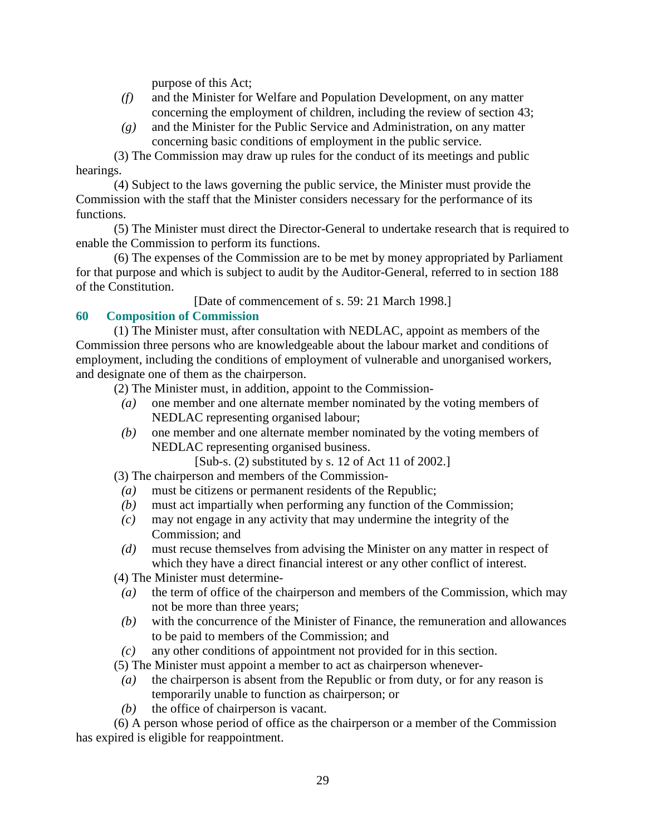purpose of this Act;

- *(f)* and the Minister for Welfare and Population Development, on any matter concerning the employment of children, including the review of section 43;
- *(g)* and the Minister for the Public Service and Administration, on any matter concerning basic conditions of employment in the public service.

 (3) The Commission may draw up rules for the conduct of its meetings and public hearings.

 (4) Subject to the laws governing the public service, the Minister must provide the Commission with the staff that the Minister considers necessary for the performance of its functions.

 (5) The Minister must direct the Director-General to undertake research that is required to enable the Commission to perform its functions.

 (6) The expenses of the Commission are to be met by money appropriated by Parliament for that purpose and which is subject to audit by the Auditor-General, referred to in section 188 of the Constitution.

[Date of commencement of s. 59: 21 March 1998.]

## **60 Composition of Commission**

 (1) The Minister must, after consultation with NEDLAC, appoint as members of the Commission three persons who are knowledgeable about the labour market and conditions of employment, including the conditions of employment of vulnerable and unorganised workers, and designate one of them as the chairperson.

(2) The Minister must, in addition, appoint to the Commission-

- *(a)* one member and one alternate member nominated by the voting members of NEDLAC representing organised labour;
- *(b)* one member and one alternate member nominated by the voting members of NEDLAC representing organised business.

[Sub-s. (2) substituted by s. 12 of Act 11 of 2002.]

(3) The chairperson and members of the Commission-

- *(a)* must be citizens or permanent residents of the Republic;
- *(b)* must act impartially when performing any function of the Commission;
- *(c)* may not engage in any activity that may undermine the integrity of the Commission; and
- *(d)* must recuse themselves from advising the Minister on any matter in respect of which they have a direct financial interest or any other conflict of interest.

(4) The Minister must determine-

- *(a)* the term of office of the chairperson and members of the Commission, which may not be more than three years;
- *(b)* with the concurrence of the Minister of Finance, the remuneration and allowances to be paid to members of the Commission; and
- *(c)* any other conditions of appointment not provided for in this section.

(5) The Minister must appoint a member to act as chairperson whenever-

- *(a)* the chairperson is absent from the Republic or from duty, or for any reason is temporarily unable to function as chairperson; or
- *(b)* the office of chairperson is vacant.

 (6) A person whose period of office as the chairperson or a member of the Commission has expired is eligible for reappointment.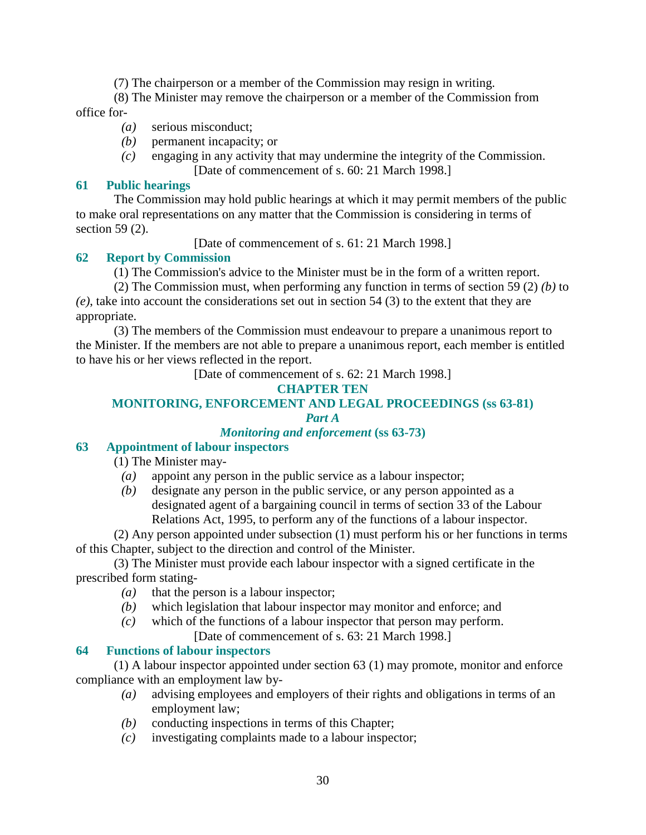(7) The chairperson or a member of the Commission may resign in writing.

 (8) The Minister may remove the chairperson or a member of the Commission from office for-

- *(a)* serious misconduct;
- *(b)* permanent incapacity; or
- *(c)* engaging in any activity that may undermine the integrity of the Commission. [Date of commencement of s. 60: 21 March 1998.]

## **61 Public hearings**

 The Commission may hold public hearings at which it may permit members of the public to make oral representations on any matter that the Commission is considering in terms of section 59 (2).

[Date of commencement of s. 61: 21 March 1998.]

## **62 Report by Commission**

(1) The Commission's advice to the Minister must be in the form of a written report.

(2) The Commission must, when performing any function in terms of section 59 (2) *(b)* to

*(e)*, take into account the considerations set out in section 54 (3) to the extent that they are appropriate.

 (3) The members of the Commission must endeavour to prepare a unanimous report to the Minister. If the members are not able to prepare a unanimous report, each member is entitled to have his or her views reflected in the report.

[Date of commencement of s. 62: 21 March 1998.]

## **CHAPTER TEN**

#### **MONITORING, ENFORCEMENT AND LEGAL PROCEEDINGS (ss 63-81)**  *Part A*

## *Monitoring and enforcement* **(ss 63-73)**

## **63 Appointment of labour inspectors**

(1) The Minister may-

- *(a)* appoint any person in the public service as a labour inspector;
- *(b)* designate any person in the public service, or any person appointed as a designated agent of a bargaining council in terms of section 33 of the Labour Relations Act, 1995, to perform any of the functions of a labour inspector.

 (2) Any person appointed under subsection (1) must perform his or her functions in terms of this Chapter, subject to the direction and control of the Minister.

 (3) The Minister must provide each labour inspector with a signed certificate in the prescribed form stating-

- *(a)* that the person is a labour inspector;
- *(b)* which legislation that labour inspector may monitor and enforce; and
- *(c)* which of the functions of a labour inspector that person may perform.
	- [Date of commencement of s. 63: 21 March 1998.]

## **64 Functions of labour inspectors**

 (1) A labour inspector appointed under section 63 (1) may promote, monitor and enforce compliance with an employment law by-

- *(a)* advising employees and employers of their rights and obligations in terms of an employment law;
- *(b)* conducting inspections in terms of this Chapter;
- *(c)* investigating complaints made to a labour inspector;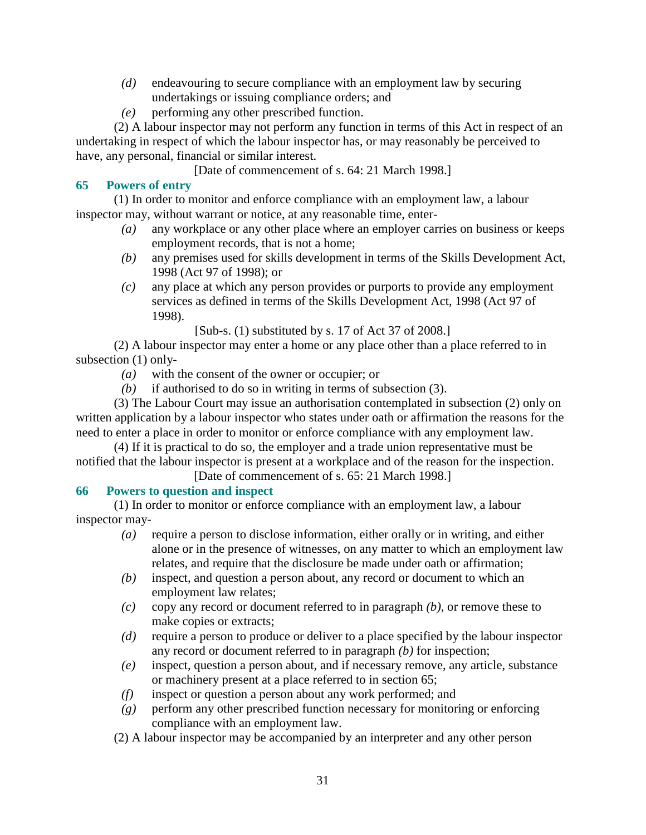- *(d)* endeavouring to secure compliance with an employment law by securing undertakings or issuing compliance orders; and
- *(e)* performing any other prescribed function.

 (2) A labour inspector may not perform any function in terms of this Act in respect of an undertaking in respect of which the labour inspector has, or may reasonably be perceived to have, any personal, financial or similar interest.

[Date of commencement of s. 64: 21 March 1998.]

## **65 Powers of entry**

 (1) In order to monitor and enforce compliance with an employment law, a labour inspector may, without warrant or notice, at any reasonable time, enter-

- *(a)* any workplace or any other place where an employer carries on business or keeps employment records, that is not a home;
- *(b)* any premises used for skills development in terms of the Skills Development Act, 1998 (Act 97 of 1998); or
- *(c)* any place at which any person provides or purports to provide any employment services as defined in terms of the Skills Development Act, 1998 (Act 97 of 1998).

[Sub-s. (1) substituted by s. 17 of Act 37 of 2008.]

 (2) A labour inspector may enter a home or any place other than a place referred to in subsection (1) only-

- *(a)* with the consent of the owner or occupier; or
- *(b)* if authorised to do so in writing in terms of subsection (3).

 (3) The Labour Court may issue an authorisation contemplated in subsection (2) only on written application by a labour inspector who states under oath or affirmation the reasons for the need to enter a place in order to monitor or enforce compliance with any employment law.

 (4) If it is practical to do so, the employer and a trade union representative must be notified that the labour inspector is present at a workplace and of the reason for the inspection.

## [Date of commencement of s. 65: 21 March 1998.]

## **66 Powers to question and inspect**

 (1) In order to monitor or enforce compliance with an employment law, a labour inspector may-

- *(a)* require a person to disclose information, either orally or in writing, and either alone or in the presence of witnesses, on any matter to which an employment law relates, and require that the disclosure be made under oath or affirmation;
- *(b)* inspect, and question a person about, any record or document to which an employment law relates;
- *(c)* copy any record or document referred to in paragraph *(b)*, or remove these to make copies or extracts;
- *(d)* require a person to produce or deliver to a place specified by the labour inspector any record or document referred to in paragraph *(b)* for inspection;
- *(e)* inspect, question a person about, and if necessary remove, any article, substance or machinery present at a place referred to in section 65;
- *(f)* inspect or question a person about any work performed; and
- *(g)* perform any other prescribed function necessary for monitoring or enforcing compliance with an employment law.
- (2) A labour inspector may be accompanied by an interpreter and any other person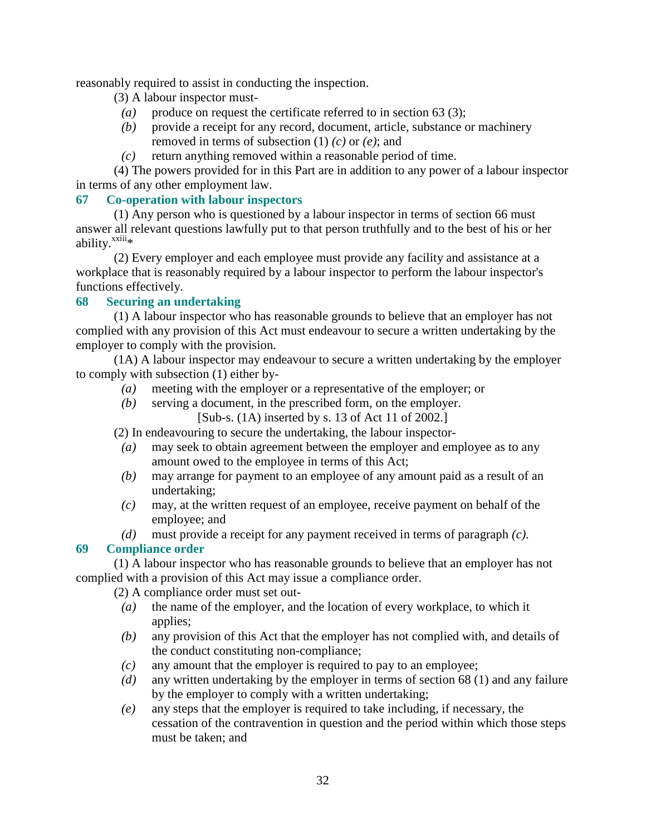reasonably required to assist in conducting the inspection.

- (3) A labour inspector must-
	- *(a)* produce on request the certificate referred to in section 63 (3);
- *(b)* provide a receipt for any record, document, article, substance or machinery removed in terms of subsection (1) *(c)* or *(e)*; and
- *(c)* return anything removed within a reasonable period of time.

 (4) The powers provided for in this Part are in addition to any power of a labour inspector in terms of any other employment law.

#### **67 Co-operation with labour inspectors**

 (1) Any person who is questioned by a labour inspector in terms of section 66 must answer all relevant questions lawfully put to that person truthfully and to the best of his or her ability.<sup>xxiii\*</sup>

 (2) Every employer and each employee must provide any facility and assistance at a workplace that is reasonably required by a labour inspector to perform the labour inspector's functions effectively.

## **68 Securing an undertaking**

 (1) A labour inspector who has reasonable grounds to believe that an employer has not complied with any provision of this Act must endeavour to secure a written undertaking by the employer to comply with the provision.

 (1A) A labour inspector may endeavour to secure a written undertaking by the employer to comply with subsection (1) either by-

- *(a)* meeting with the employer or a representative of the employer; or
- *(b)* serving a document, in the prescribed form, on the employer.
	- [Sub-s. (1A) inserted by s. 13 of Act 11 of 2002.]

(2) In endeavouring to secure the undertaking, the labour inspector-

- *(a)* may seek to obtain agreement between the employer and employee as to any amount owed to the employee in terms of this Act;
- *(b)* may arrange for payment to an employee of any amount paid as a result of an undertaking;
- *(c)* may, at the written request of an employee, receive payment on behalf of the employee; and
- *(d)* must provide a receipt for any payment received in terms of paragraph *(c)*.

## **69 Compliance order**

 (1) A labour inspector who has reasonable grounds to believe that an employer has not complied with a provision of this Act may issue a compliance order.

(2) A compliance order must set out-

- *(a)* the name of the employer, and the location of every workplace, to which it applies;
- *(b)* any provision of this Act that the employer has not complied with, and details of the conduct constituting non-compliance;
- *(c)* any amount that the employer is required to pay to an employee;
- *(d)* any written undertaking by the employer in terms of section 68 (1) and any failure by the employer to comply with a written undertaking;
- *(e)* any steps that the employer is required to take including, if necessary, the cessation of the contravention in question and the period within which those steps must be taken; and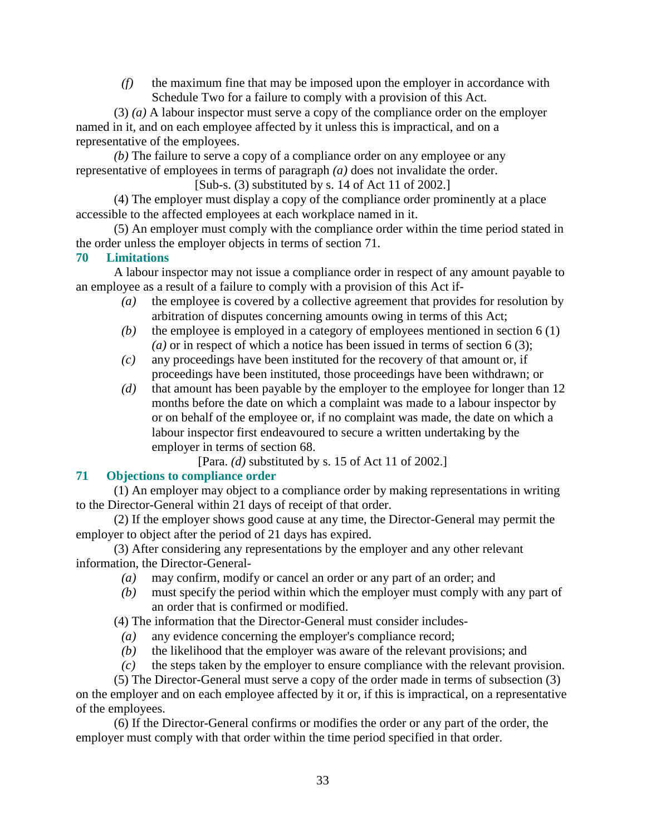*(f)* the maximum fine that may be imposed upon the employer in accordance with Schedule Two for a failure to comply with a provision of this Act.

 (3) *(a)* A labour inspector must serve a copy of the compliance order on the employer named in it, and on each employee affected by it unless this is impractical, and on a representative of the employees.

*(b)* The failure to serve a copy of a compliance order on any employee or any representative of employees in terms of paragraph *(a)* does not invalidate the order. [Sub-s. (3) substituted by s. 14 of Act 11 of 2002.]

 (4) The employer must display a copy of the compliance order prominently at a place accessible to the affected employees at each workplace named in it.

 (5) An employer must comply with the compliance order within the time period stated in the order unless the employer objects in terms of section 71.

## **70 Limitations**

 A labour inspector may not issue a compliance order in respect of any amount payable to an employee as a result of a failure to comply with a provision of this Act if-

- *(a)* the employee is covered by a collective agreement that provides for resolution by arbitration of disputes concerning amounts owing in terms of this Act;
- *(b)* the employee is employed in a category of employees mentioned in section 6 (1) *(a)* or in respect of which a notice has been issued in terms of section 6 (3);
- *(c)* any proceedings have been instituted for the recovery of that amount or, if proceedings have been instituted, those proceedings have been withdrawn; or
- *(d)* that amount has been payable by the employer to the employee for longer than 12 months before the date on which a complaint was made to a labour inspector by or on behalf of the employee or, if no complaint was made, the date on which a labour inspector first endeavoured to secure a written undertaking by the employer in terms of section 68.

[Para. *(d)* substituted by s. 15 of Act 11 of 2002.]

# **71 Objections to compliance order**

 (1) An employer may object to a compliance order by making representations in writing to the Director-General within 21 days of receipt of that order.

 (2) If the employer shows good cause at any time, the Director-General may permit the employer to object after the period of 21 days has expired.

 (3) After considering any representations by the employer and any other relevant information, the Director-General-

- *(a)* may confirm, modify or cancel an order or any part of an order; and
- *(b)* must specify the period within which the employer must comply with any part of an order that is confirmed or modified.

(4) The information that the Director-General must consider includes-

- *(a)* any evidence concerning the employer's compliance record;
- *(b)* the likelihood that the employer was aware of the relevant provisions; and
- *(c)* the steps taken by the employer to ensure compliance with the relevant provision.

 (5) The Director-General must serve a copy of the order made in terms of subsection (3) on the employer and on each employee affected by it or, if this is impractical, on a representative of the employees.

 (6) If the Director-General confirms or modifies the order or any part of the order, the employer must comply with that order within the time period specified in that order.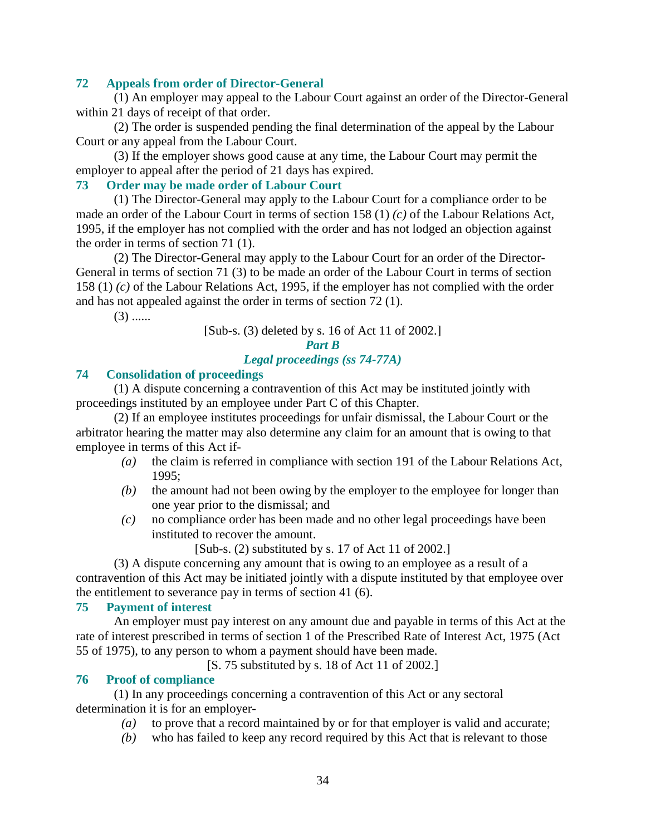#### **72 Appeals from order of Director-General**

 (1) An employer may appeal to the Labour Court against an order of the Director-General within 21 days of receipt of that order.

 (2) The order is suspended pending the final determination of the appeal by the Labour Court or any appeal from the Labour Court.

 (3) If the employer shows good cause at any time, the Labour Court may permit the employer to appeal after the period of 21 days has expired.

## **73 Order may be made order of Labour Court**

 (1) The Director-General may apply to the Labour Court for a compliance order to be made an order of the Labour Court in terms of section 158 (1) *(c)* of the Labour Relations Act, 1995, if the employer has not complied with the order and has not lodged an objection against the order in terms of section 71 (1).

 (2) The Director-General may apply to the Labour Court for an order of the Director-General in terms of section 71 (3) to be made an order of the Labour Court in terms of section 158 (1) *(c)* of the Labour Relations Act, 1995, if the employer has not complied with the order and has not appealed against the order in terms of section 72 (1).

 $(3)$  ......

[Sub-s. (3) deleted by s. 16 of Act 11 of 2002.]

## *Part B Legal proceedings (ss 74-77A)*

#### **74 Consolidation of proceedings**

 (1) A dispute concerning a contravention of this Act may be instituted jointly with proceedings instituted by an employee under Part C of this Chapter.

 (2) If an employee institutes proceedings for unfair dismissal, the Labour Court or the arbitrator hearing the matter may also determine any claim for an amount that is owing to that employee in terms of this Act if-

- *(a)* the claim is referred in compliance with section 191 of the Labour Relations Act, 1995;
- *(b)* the amount had not been owing by the employer to the employee for longer than one year prior to the dismissal; and
- *(c)* no compliance order has been made and no other legal proceedings have been instituted to recover the amount.

[Sub-s. (2) substituted by s. 17 of Act 11 of 2002.]

 (3) A dispute concerning any amount that is owing to an employee as a result of a contravention of this Act may be initiated jointly with a dispute instituted by that employee over the entitlement to severance pay in terms of section 41 (6).

#### **75 Payment of interest**

 An employer must pay interest on any amount due and payable in terms of this Act at the rate of interest prescribed in terms of section 1 of the Prescribed Rate of Interest Act, 1975 (Act 55 of 1975), to any person to whom a payment should have been made.

[S. 75 substituted by s. 18 of Act 11 of 2002.]

#### **76 Proof of compliance**

 (1) In any proceedings concerning a contravention of this Act or any sectoral determination it is for an employer-

- *(a)* to prove that a record maintained by or for that employer is valid and accurate;
- *(b)* who has failed to keep any record required by this Act that is relevant to those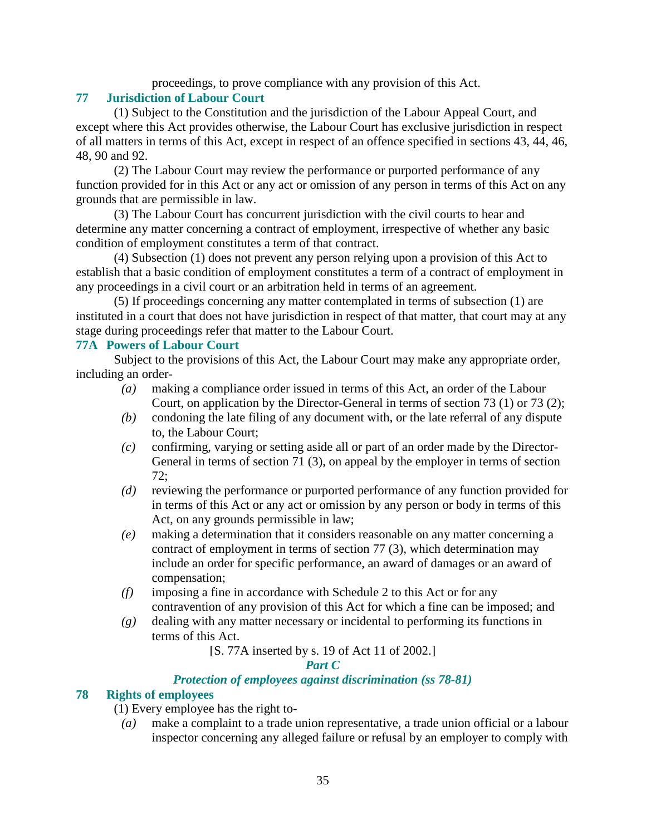proceedings, to prove compliance with any provision of this Act.

## **77 Jurisdiction of Labour Court**

 (1) Subject to the Constitution and the jurisdiction of the Labour Appeal Court, and except where this Act provides otherwise, the Labour Court has exclusive jurisdiction in respect of all matters in terms of this Act, except in respect of an offence specified in sections 43, 44, 46, 48, 90 and 92.

 (2) The Labour Court may review the performance or purported performance of any function provided for in this Act or any act or omission of any person in terms of this Act on any grounds that are permissible in law.

 (3) The Labour Court has concurrent jurisdiction with the civil courts to hear and determine any matter concerning a contract of employment, irrespective of whether any basic condition of employment constitutes a term of that contract.

 (4) Subsection (1) does not prevent any person relying upon a provision of this Act to establish that a basic condition of employment constitutes a term of a contract of employment in any proceedings in a civil court or an arbitration held in terms of an agreement.

 (5) If proceedings concerning any matter contemplated in terms of subsection (1) are instituted in a court that does not have jurisdiction in respect of that matter, that court may at any stage during proceedings refer that matter to the Labour Court.

## **77A Powers of Labour Court**

 Subject to the provisions of this Act, the Labour Court may make any appropriate order, including an order-

- *(a)* making a compliance order issued in terms of this Act, an order of the Labour Court, on application by the Director-General in terms of section 73 (1) or 73 (2);
- *(b)* condoning the late filing of any document with, or the late referral of any dispute to, the Labour Court;
- *(c)* confirming, varying or setting aside all or part of an order made by the Director-General in terms of section 71 (3), on appeal by the employer in terms of section 72;
- *(d)* reviewing the performance or purported performance of any function provided for in terms of this Act or any act or omission by any person or body in terms of this Act, on any grounds permissible in law;
- *(e)* making a determination that it considers reasonable on any matter concerning a contract of employment in terms of section 77 (3), which determination may include an order for specific performance, an award of damages or an award of compensation;
- *(f)* imposing a fine in accordance with Schedule 2 to this Act or for any contravention of any provision of this Act for which a fine can be imposed; and
- *(g)* dealing with any matter necessary or incidental to performing its functions in terms of this Act.

[S. 77A inserted by s. 19 of Act 11 of 2002.]

## *Part C*

## *Protection of employees against discrimination (ss 78-81)*

## **78 Rights of employees**

- (1) Every employee has the right to-
	- *(a)* make a complaint to a trade union representative, a trade union official or a labour inspector concerning any alleged failure or refusal by an employer to comply with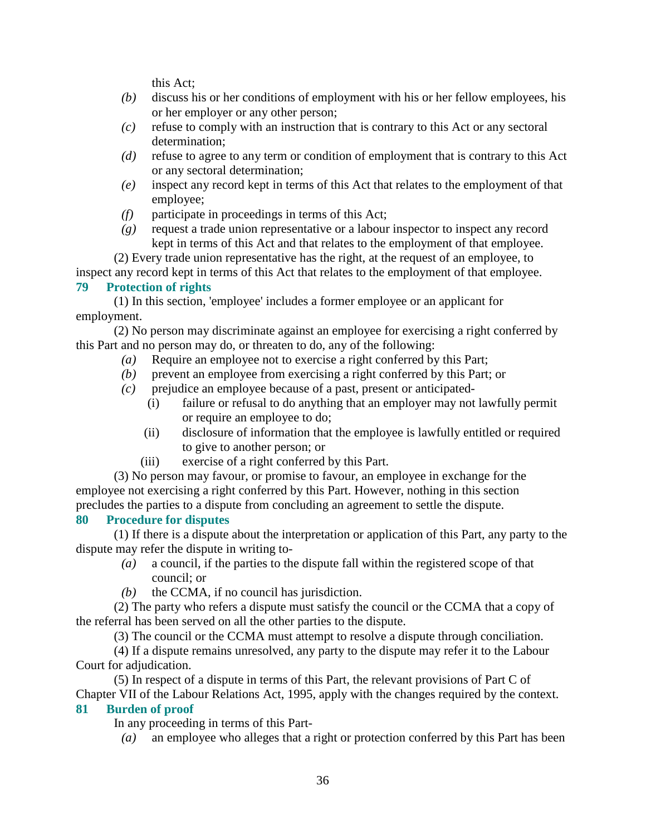this Act;

- *(b)* discuss his or her conditions of employment with his or her fellow employees, his or her employer or any other person;
- *(c)* refuse to comply with an instruction that is contrary to this Act or any sectoral determination;
- *(d)* refuse to agree to any term or condition of employment that is contrary to this Act or any sectoral determination;
- *(e)* inspect any record kept in terms of this Act that relates to the employment of that employee;
- *(f)* participate in proceedings in terms of this Act;
- *(g)* request a trade union representative or a labour inspector to inspect any record kept in terms of this Act and that relates to the employment of that employee.

 (2) Every trade union representative has the right, at the request of an employee, to inspect any record kept in terms of this Act that relates to the employment of that employee.

## **79 Protection of rights**

 (1) In this section, 'employee' includes a former employee or an applicant for employment.

 (2) No person may discriminate against an employee for exercising a right conferred by this Part and no person may do, or threaten to do, any of the following:

- *(a)* Require an employee not to exercise a right conferred by this Part;
- *(b)* prevent an employee from exercising a right conferred by this Part; or
- *(c)* prejudice an employee because of a past, present or anticipated-
	- (i) failure or refusal to do anything that an employer may not lawfully permit or require an employee to do;
	- (ii) disclosure of information that the employee is lawfully entitled or required to give to another person; or
	- (iii) exercise of a right conferred by this Part.

 (3) No person may favour, or promise to favour, an employee in exchange for the employee not exercising a right conferred by this Part. However, nothing in this section precludes the parties to a dispute from concluding an agreement to settle the dispute.

# **80 Procedure for disputes**

 (1) If there is a dispute about the interpretation or application of this Part, any party to the dispute may refer the dispute in writing to-

- *(a)* a council, if the parties to the dispute fall within the registered scope of that council; or
- *(b)* the CCMA, if no council has jurisdiction.

 (2) The party who refers a dispute must satisfy the council or the CCMA that a copy of the referral has been served on all the other parties to the dispute.

(3) The council or the CCMA must attempt to resolve a dispute through conciliation.

 (4) If a dispute remains unresolved, any party to the dispute may refer it to the Labour Court for adjudication.

 (5) In respect of a dispute in terms of this Part, the relevant provisions of Part C of Chapter VII of the Labour Relations Act, 1995, apply with the changes required by the context.

# **81 Burden of proof**

In any proceeding in terms of this Part-

*(a)* an employee who alleges that a right or protection conferred by this Part has been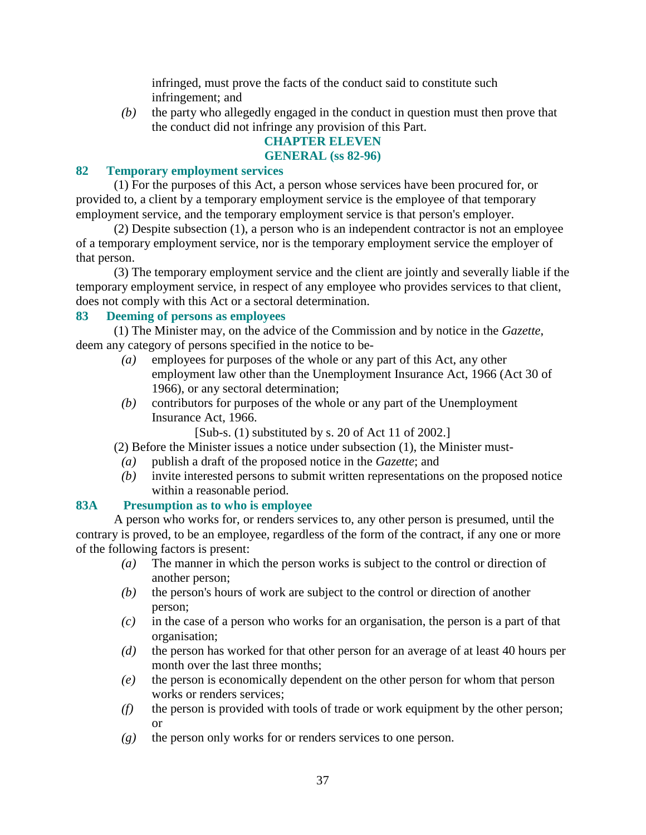infringed, must prove the facts of the conduct said to constitute such infringement; and

 *(b)* the party who allegedly engaged in the conduct in question must then prove that the conduct did not infringe any provision of this Part.

# **CHAPTER ELEVEN**

#### **GENERAL (ss 82-96)**

#### **82 Temporary employment services**

 (1) For the purposes of this Act, a person whose services have been procured for, or provided to, a client by a temporary employment service is the employee of that temporary employment service, and the temporary employment service is that person's employer.

 (2) Despite subsection (1), a person who is an independent contractor is not an employee of a temporary employment service, nor is the temporary employment service the employer of that person.

 (3) The temporary employment service and the client are jointly and severally liable if the temporary employment service, in respect of any employee who provides services to that client, does not comply with this Act or a sectoral determination.

#### **83 Deeming of persons as employees**

 (1) The Minister may, on the advice of the Commission and by notice in the *Gazette*, deem any category of persons specified in the notice to be-

- *(a)* employees for purposes of the whole or any part of this Act, any other employment law other than the Unemployment Insurance Act, 1966 (Act 30 of 1966), or any sectoral determination;
- *(b)* contributors for purposes of the whole or any part of the Unemployment Insurance Act, 1966.
	- [Sub-s. (1) substituted by s. 20 of Act 11 of 2002.]

(2) Before the Minister issues a notice under subsection (1), the Minister must-

- *(a)* publish a draft of the proposed notice in the *Gazette*; and
- *(b)* invite interested persons to submit written representations on the proposed notice within a reasonable period.

## **83A Presumption as to who is employee**

 A person who works for, or renders services to, any other person is presumed, until the contrary is proved, to be an employee, regardless of the form of the contract, if any one or more of the following factors is present:

- *(a)* The manner in which the person works is subject to the control or direction of another person;
- *(b)* the person's hours of work are subject to the control or direction of another person;
- *(c)* in the case of a person who works for an organisation, the person is a part of that organisation;
- *(d)* the person has worked for that other person for an average of at least 40 hours per month over the last three months;
- *(e)* the person is economically dependent on the other person for whom that person works or renders services;
- *(f)* the person is provided with tools of trade or work equipment by the other person; or
- *(g)* the person only works for or renders services to one person.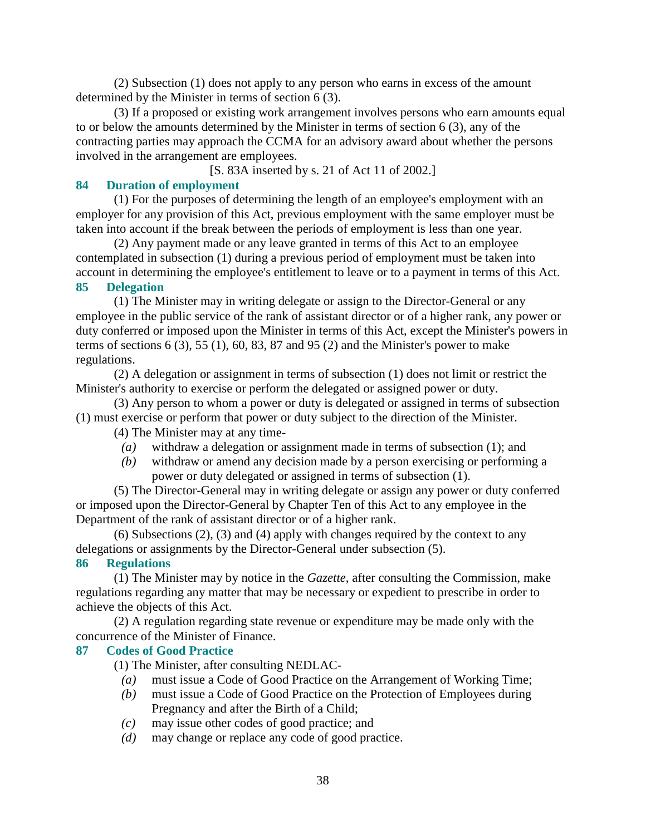(2) Subsection (1) does not apply to any person who earns in excess of the amount determined by the Minister in terms of section 6 (3).

 (3) If a proposed or existing work arrangement involves persons who earn amounts equal to or below the amounts determined by the Minister in terms of section 6 (3), any of the contracting parties may approach the CCMA for an advisory award about whether the persons involved in the arrangement are employees.

[S. 83A inserted by s. 21 of Act 11 of 2002.]

## **84 Duration of employment**

 (1) For the purposes of determining the length of an employee's employment with an employer for any provision of this Act, previous employment with the same employer must be taken into account if the break between the periods of employment is less than one year.

 (2) Any payment made or any leave granted in terms of this Act to an employee contemplated in subsection (1) during a previous period of employment must be taken into account in determining the employee's entitlement to leave or to a payment in terms of this Act.

## **85 Delegation**

 (1) The Minister may in writing delegate or assign to the Director-General or any employee in the public service of the rank of assistant director or of a higher rank, any power or duty conferred or imposed upon the Minister in terms of this Act, except the Minister's powers in terms of sections  $6(3)$ ,  $55(1)$ ,  $60$ ,  $83$ ,  $87$  and  $95(2)$  and the Minister's power to make regulations.

 (2) A delegation or assignment in terms of subsection (1) does not limit or restrict the Minister's authority to exercise or perform the delegated or assigned power or duty.

 (3) Any person to whom a power or duty is delegated or assigned in terms of subsection (1) must exercise or perform that power or duty subject to the direction of the Minister.

(4) The Minister may at any time-

- *(a)* withdraw a delegation or assignment made in terms of subsection (1); and
- *(b)* withdraw or amend any decision made by a person exercising or performing a power or duty delegated or assigned in terms of subsection (1).

 (5) The Director-General may in writing delegate or assign any power or duty conferred or imposed upon the Director-General by Chapter Ten of this Act to any employee in the Department of the rank of assistant director or of a higher rank.

 (6) Subsections (2), (3) and (4) apply with changes required by the context to any delegations or assignments by the Director-General under subsection (5).

## **86 Regulations**

 (1) The Minister may by notice in the *Gazette*, after consulting the Commission, make regulations regarding any matter that may be necessary or expedient to prescribe in order to achieve the objects of this Act.

 (2) A regulation regarding state revenue or expenditure may be made only with the concurrence of the Minister of Finance.

## **87 Codes of Good Practice**

(1) The Minister, after consulting NEDLAC-

- *(a)* must issue a Code of Good Practice on the Arrangement of Working Time;
- *(b)* must issue a Code of Good Practice on the Protection of Employees during Pregnancy and after the Birth of a Child;
- *(c)* may issue other codes of good practice; and
- *(d)* may change or replace any code of good practice.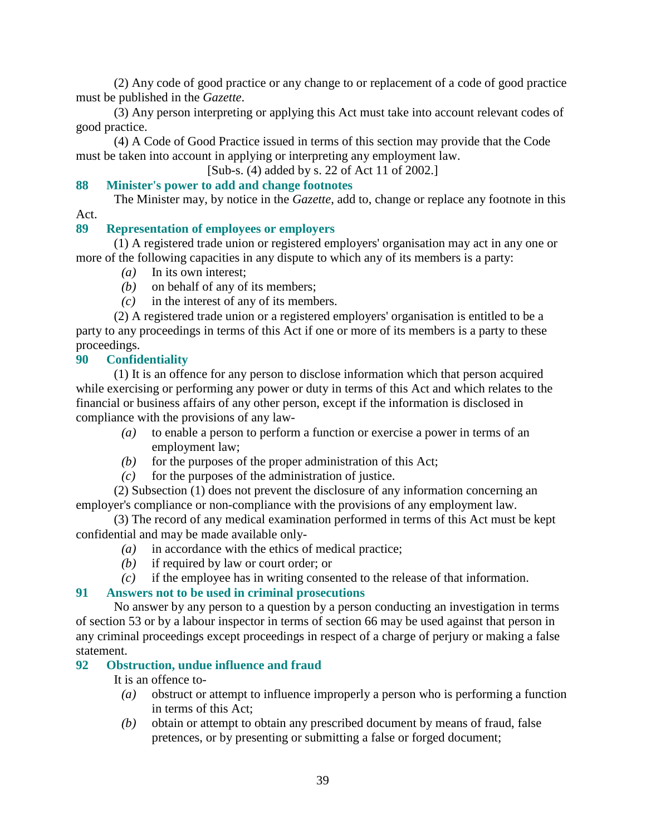(2) Any code of good practice or any change to or replacement of a code of good practice must be published in the *Gazette*.

 (3) Any person interpreting or applying this Act must take into account relevant codes of good practice.

 (4) A Code of Good Practice issued in terms of this section may provide that the Code must be taken into account in applying or interpreting any employment law.

[Sub-s. (4) added by s. 22 of Act 11 of 2002.]

## **88 Minister's power to add and change footnotes**

 The Minister may, by notice in the *Gazette*, add to, change or replace any footnote in this Act.

## **89 Representation of employees or employers**

 (1) A registered trade union or registered employers' organisation may act in any one or more of the following capacities in any dispute to which any of its members is a party:

- *(a)* In its own interest;
- *(b)* on behalf of any of its members;
- *(c)* in the interest of any of its members.

 (2) A registered trade union or a registered employers' organisation is entitled to be a party to any proceedings in terms of this Act if one or more of its members is a party to these proceedings.

## **90 Confidentiality**

 (1) It is an offence for any person to disclose information which that person acquired while exercising or performing any power or duty in terms of this Act and which relates to the financial or business affairs of any other person, except if the information is disclosed in compliance with the provisions of any law-

- *(a)* to enable a person to perform a function or exercise a power in terms of an employment law;
- $(b)$  for the purposes of the proper administration of this Act;
- $(c)$  for the purposes of the administration of justice.

 (2) Subsection (1) does not prevent the disclosure of any information concerning an employer's compliance or non-compliance with the provisions of any employment law.

 (3) The record of any medical examination performed in terms of this Act must be kept confidential and may be made available only-

- *(a)* in accordance with the ethics of medical practice;
- *(b)* if required by law or court order; or
- *(c)* if the employee has in writing consented to the release of that information.

#### **91 Answers not to be used in criminal prosecutions**

 No answer by any person to a question by a person conducting an investigation in terms of section 53 or by a labour inspector in terms of section 66 may be used against that person in any criminal proceedings except proceedings in respect of a charge of perjury or making a false statement.

#### **92 Obstruction, undue influence and fraud**

It is an offence to-

- *(a)* obstruct or attempt to influence improperly a person who is performing a function in terms of this Act;
- *(b)* obtain or attempt to obtain any prescribed document by means of fraud, false pretences, or by presenting or submitting a false or forged document;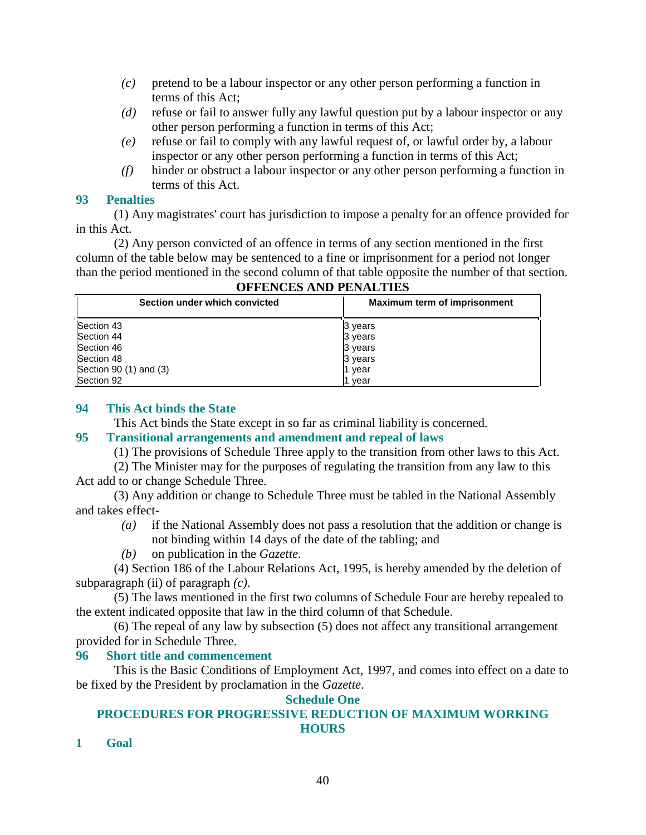- *(c)* pretend to be a labour inspector or any other person performing a function in terms of this Act;
- *(d)* refuse or fail to answer fully any lawful question put by a labour inspector or any other person performing a function in terms of this Act;
- *(e)* refuse or fail to comply with any lawful request of, or lawful order by, a labour inspector or any other person performing a function in terms of this Act;
- *(f)* hinder or obstruct a labour inspector or any other person performing a function in terms of this Act.

#### **93 Penalties**

 (1) Any magistrates' court has jurisdiction to impose a penalty for an offence provided for in this Act.

 (2) Any person convicted of an offence in terms of any section mentioned in the first column of the table below may be sentenced to a fine or imprisonment for a period not longer than the period mentioned in the second column of that table opposite the number of that section.

| Section under which convicted | Maximum term of imprisonment |  |
|-------------------------------|------------------------------|--|
| Section 43                    | 3 years                      |  |
| Section 44                    | 3 years                      |  |
| Section 46                    | 3 years                      |  |
| Section 48                    | 3 years                      |  |
| Section 90 (1) and (3)        | year                         |  |
| Section 92                    | year                         |  |

## **OFFENCES AND PENALTIES**

#### **94 This Act binds the State**

This Act binds the State except in so far as criminal liability is concerned.

## **95 Transitional arrangements and amendment and repeal of laws**

(1) The provisions of Schedule Three apply to the transition from other laws to this Act.

 (2) The Minister may for the purposes of regulating the transition from any law to this Act add to or change Schedule Three.

 (3) Any addition or change to Schedule Three must be tabled in the National Assembly and takes effect-

- *(a)* if the National Assembly does not pass a resolution that the addition or change is not binding within 14 days of the date of the tabling; and
- *(b)* on publication in the *Gazette*.

 (4) Section 186 of the Labour Relations Act, 1995, is hereby amended by the deletion of subparagraph (ii) of paragraph *(c)*.

 (5) The laws mentioned in the first two columns of Schedule Four are hereby repealed to the extent indicated opposite that law in the third column of that Schedule.

 (6) The repeal of any law by subsection (5) does not affect any transitional arrangement provided for in Schedule Three.

## **96 Short title and commencement**

 This is the Basic Conditions of Employment Act, 1997, and comes into effect on a date to be fixed by the President by proclamation in the *Gazette*.

#### **Schedule One**

#### **PROCEDURES FOR PROGRESSIVE REDUCTION OF MAXIMUM WORKING HOURS**

**1 Goal**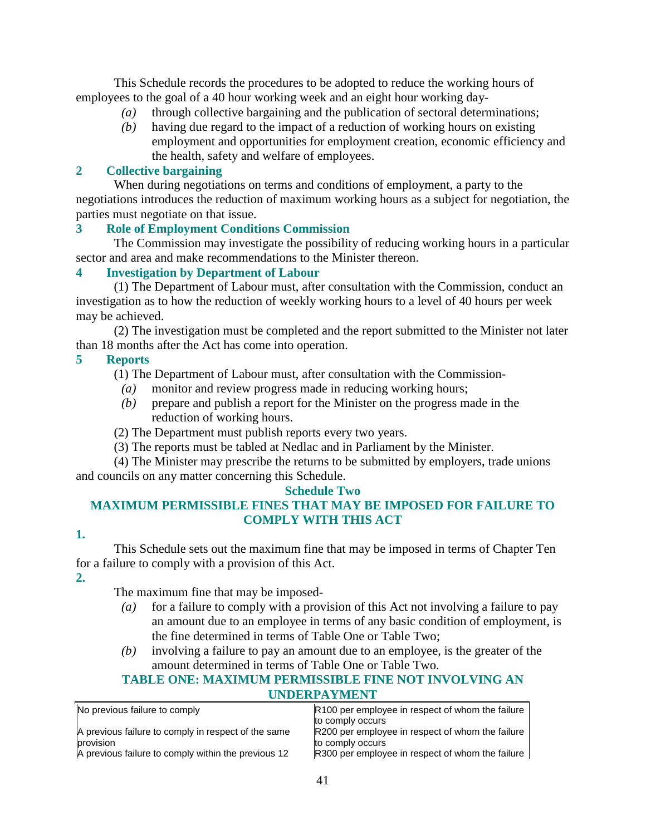This Schedule records the procedures to be adopted to reduce the working hours of employees to the goal of a 40 hour working week and an eight hour working day-

- *(a)* through collective bargaining and the publication of sectoral determinations;
- *(b)* having due regard to the impact of a reduction of working hours on existing employment and opportunities for employment creation, economic efficiency and the health, safety and welfare of employees.

## **2 Collective bargaining**

 When during negotiations on terms and conditions of employment, a party to the negotiations introduces the reduction of maximum working hours as a subject for negotiation, the parties must negotiate on that issue.

## **3 Role of Employment Conditions Commission**

 The Commission may investigate the possibility of reducing working hours in a particular sector and area and make recommendations to the Minister thereon.

## **4 Investigation by Department of Labour**

 (1) The Department of Labour must, after consultation with the Commission, conduct an investigation as to how the reduction of weekly working hours to a level of 40 hours per week may be achieved.

 (2) The investigation must be completed and the report submitted to the Minister not later than 18 months after the Act has come into operation.

## **5 Reports**

(1) The Department of Labour must, after consultation with the Commission-

- *(a)* monitor and review progress made in reducing working hours;
- *(b)* prepare and publish a report for the Minister on the progress made in the reduction of working hours.

(2) The Department must publish reports every two years.

(3) The reports must be tabled at Nedlac and in Parliament by the Minister.

 (4) The Minister may prescribe the returns to be submitted by employers, trade unions and councils on any matter concerning this Schedule.

#### **Schedule Two**

# **MAXIMUM PERMISSIBLE FINES THAT MAY BE IMPOSED FOR FAILURE TO COMPLY WITH THIS ACT**

#### **1.**

 This Schedule sets out the maximum fine that may be imposed in terms of Chapter Ten for a failure to comply with a provision of this Act.

**2.** 

The maximum fine that may be imposed-

- *(a)* for a failure to comply with a provision of this Act not involving a failure to pay an amount due to an employee in terms of any basic condition of employment, is the fine determined in terms of Table One or Table Two;
- *(b)* involving a failure to pay an amount due to an employee, is the greater of the amount determined in terms of Table One or Table Two.

#### **TABLE ONE: MAXIMUM PERMISSIBLE FINE NOT INVOLVING AN UNDERPAYMENT**

| No previous failure to comply                       | R100 per employee in respect of whom the failure |  |
|-----------------------------------------------------|--------------------------------------------------|--|
|                                                     | to comply occurs                                 |  |
| A previous failure to comply in respect of the same | R200 per employee in respect of whom the failure |  |
| provision                                           | to comply occurs                                 |  |
| A previous failure to comply within the previous 12 | R300 per employee in respect of whom the failure |  |
|                                                     |                                                  |  |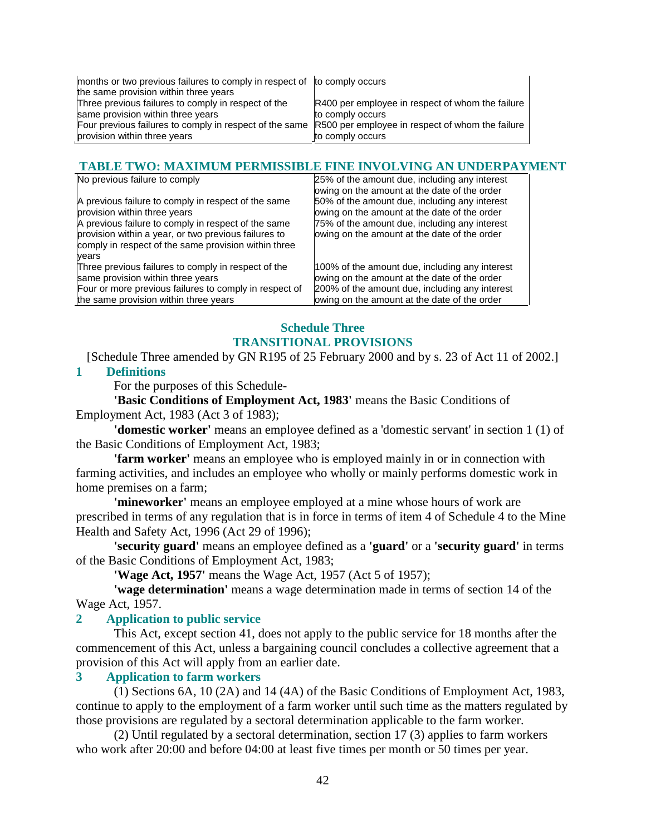| months or two previous failures to comply in respect of to comply occurs                                 |                                                  |
|----------------------------------------------------------------------------------------------------------|--------------------------------------------------|
| the same provision within three years                                                                    |                                                  |
| Three previous failures to comply in respect of the                                                      | R400 per employee in respect of whom the failure |
| same provision within three years                                                                        | to comply occurs                                 |
| Four previous failures to comply in respect of the same R500 per employee in respect of whom the failure |                                                  |
| provision within three years                                                                             | to comply occurs                                 |

#### **TABLE TWO: MAXIMUM PERMISSIBLE FINE INVOLVING AN UNDERPAYMENT**

| No previous failure to comply                                                                                                                                                                                                                                       | 25% of the amount due, including any interest<br>owing on the amount at the date of the order                                                                                                     |
|---------------------------------------------------------------------------------------------------------------------------------------------------------------------------------------------------------------------------------------------------------------------|---------------------------------------------------------------------------------------------------------------------------------------------------------------------------------------------------|
| A previous failure to comply in respect of the same<br>provision within three years<br>A previous failure to comply in respect of the same<br>provision within a year, or two previous failures to<br>comply in respect of the same provision within three<br>vears | 50% of the amount due, including any interest<br>owing on the amount at the date of the order<br>75% of the amount due, including any interest<br>lowing on the amount at the date of the order   |
| Three previous failures to comply in respect of the<br>same provision within three years<br>Four or more previous failures to comply in respect of<br>the same provision within three years                                                                         | 100% of the amount due, including any interest<br>owing on the amount at the date of the order<br>200% of the amount due, including any interest<br>lowing on the amount at the date of the order |

# **Schedule Three TRANSITIONAL PROVISIONS**

[Schedule Three amended by GN R195 of 25 February 2000 and by s. 23 of Act 11 of 2002.]

#### **1 Definitions**

For the purposes of this Schedule-

**'Basic Conditions of Employment Act, 1983'** means the Basic Conditions of Employment Act, 1983 (Act 3 of 1983);

**'domestic worker'** means an employee defined as a 'domestic servant' in section 1 (1) of the Basic Conditions of Employment Act, 1983;

**'farm worker'** means an employee who is employed mainly in or in connection with farming activities, and includes an employee who wholly or mainly performs domestic work in home premises on a farm;

**'mineworker'** means an employee employed at a mine whose hours of work are prescribed in terms of any regulation that is in force in terms of item 4 of Schedule 4 to the Mine Health and Safety Act, 1996 (Act 29 of 1996);

**'security guard'** means an employee defined as a **'guard'** or a **'security guard'** in terms of the Basic Conditions of Employment Act, 1983;

**'Wage Act, 1957'** means the Wage Act, 1957 (Act 5 of 1957);

**'wage determination'** means a wage determination made in terms of section 14 of the Wage Act, 1957.

#### **2 Application to public service**

 This Act, except section 41, does not apply to the public service for 18 months after the commencement of this Act, unless a bargaining council concludes a collective agreement that a provision of this Act will apply from an earlier date.

#### **3 Application to farm workers**

 (1) Sections 6A, 10 (2A) and 14 (4A) of the Basic Conditions of Employment Act, 1983, continue to apply to the employment of a farm worker until such time as the matters regulated by those provisions are regulated by a sectoral determination applicable to the farm worker.

 (2) Until regulated by a sectoral determination, section 17 (3) applies to farm workers who work after 20:00 and before 04:00 at least five times per month or 50 times per year.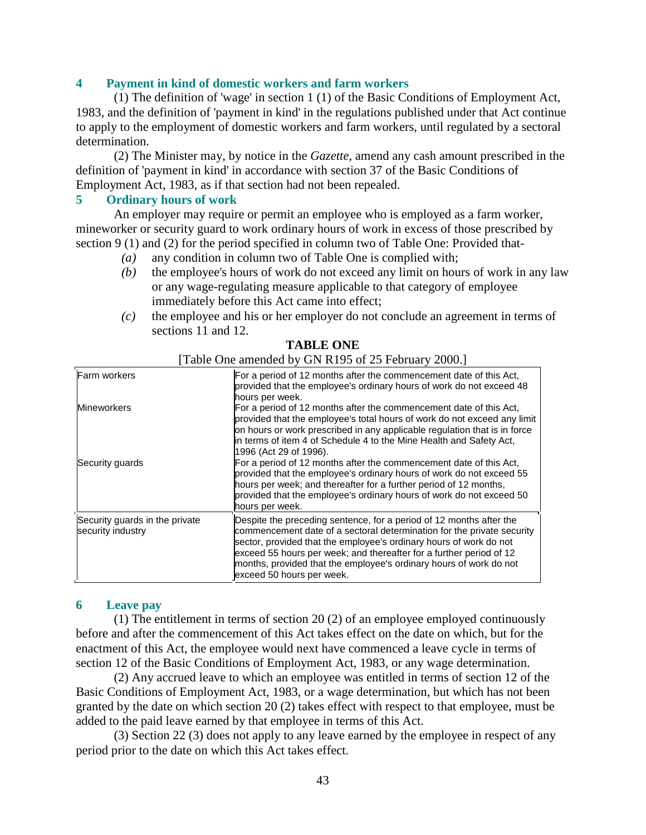#### **4 Payment in kind of domestic workers and farm workers**

 (1) The definition of 'wage' in section 1 (1) of the Basic Conditions of Employment Act, 1983, and the definition of 'payment in kind' in the regulations published under that Act continue to apply to the employment of domestic workers and farm workers, until regulated by a sectoral determination.

 (2) The Minister may, by notice in the *Gazette*, amend any cash amount prescribed in the definition of 'payment in kind' in accordance with section 37 of the Basic Conditions of Employment Act, 1983, as if that section had not been repealed.

#### **5 Ordinary hours of work**

 An employer may require or permit an employee who is employed as a farm worker, mineworker or security guard to work ordinary hours of work in excess of those prescribed by section 9 (1) and (2) for the period specified in column two of Table One: Provided that-

- *(a)* any condition in column two of Table One is complied with;
- *(b)* the employee's hours of work do not exceed any limit on hours of work in any law or any wage-regulating measure applicable to that category of employee immediately before this Act came into effect;
- *(c)* the employee and his or her employer do not conclude an agreement in terms of sections 11 and 12.

| <b>Farm workers</b>                                 | For a period of 12 months after the commencement date of this Act,<br>provided that the employee's ordinary hours of work do not exceed 48<br>hours per week.                                                                                                                                                                                                                                 |
|-----------------------------------------------------|-----------------------------------------------------------------------------------------------------------------------------------------------------------------------------------------------------------------------------------------------------------------------------------------------------------------------------------------------------------------------------------------------|
| <b>Mineworkers</b>                                  | For a period of 12 months after the commencement date of this Act,<br>provided that the employee's total hours of work do not exceed any limit<br>on hours or work prescribed in any applicable regulation that is in force<br>in terms of item 4 of Schedule 4 to the Mine Health and Safety Act,<br>1996 (Act 29 of 1996).                                                                  |
| Security guards                                     | For a period of 12 months after the commencement date of this Act,<br>provided that the employee's ordinary hours of work do not exceed 55<br>hours per week; and thereafter for a further period of 12 months,<br>provided that the employee's ordinary hours of work do not exceed 50<br>hours per week.                                                                                    |
| Security guards in the private<br>security industry | Despite the preceding sentence, for a period of 12 months after the<br>commencement date of a sectoral determination for the private security<br>sector, provided that the employee's ordinary hours of work do not<br>exceed 55 hours per week; and thereafter for a further period of 12<br>months, provided that the employee's ordinary hours of work do not<br>exceed 50 hours per week. |

#### **TABLE ONE**

[Table One amended by GN R195 of 25 February 2000.]

#### **6 Leave pay**

 (1) The entitlement in terms of section 20 (2) of an employee employed continuously before and after the commencement of this Act takes effect on the date on which, but for the enactment of this Act, the employee would next have commenced a leave cycle in terms of section 12 of the Basic Conditions of Employment Act, 1983, or any wage determination.

 (2) Any accrued leave to which an employee was entitled in terms of section 12 of the Basic Conditions of Employment Act, 1983, or a wage determination, but which has not been granted by the date on which section 20 (2) takes effect with respect to that employee, must be added to the paid leave earned by that employee in terms of this Act.

 (3) Section 22 (3) does not apply to any leave earned by the employee in respect of any period prior to the date on which this Act takes effect.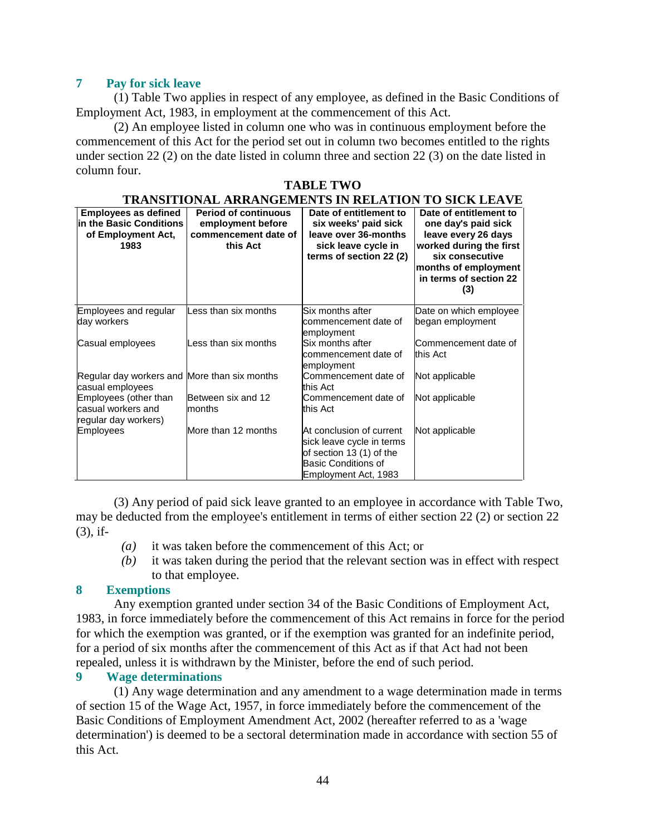## **7 Pay for sick leave**

 (1) Table Two applies in respect of any employee, as defined in the Basic Conditions of Employment Act, 1983, in employment at the commencement of this Act.

 (2) An employee listed in column one who was in continuous employment before the commencement of this Act for the period set out in column two becomes entitled to the rights under section 22 (2) on the date listed in column three and section 22 (3) on the date listed in column four.

#### **TABLE TWO**

| TRANSITIONAL ARRANGEMENTS IN RELATION TO SICK LEAVE                                  |                                                                                      |                                                                                                                                         |                                                                                                                                                                             |
|--------------------------------------------------------------------------------------|--------------------------------------------------------------------------------------|-----------------------------------------------------------------------------------------------------------------------------------------|-----------------------------------------------------------------------------------------------------------------------------------------------------------------------------|
| <b>Employees as defined</b><br>In the Basic Conditions<br>of Employment Act,<br>1983 | <b>Period of continuous</b><br>employment before<br>commencement date of<br>this Act | Date of entitlement to<br>six weeks' paid sick<br>leave over 36-months<br>sick leave cycle in<br>terms of section 22 (2)                | Date of entitlement to<br>one day's paid sick<br>leave every 26 days<br>worked during the first<br>six consecutive<br>months of employment<br>in terms of section 22<br>(3) |
| Employees and regular<br>day workers                                                 | Less than six months                                                                 | Six months after<br>commencement date of<br>employment                                                                                  | Date on which employee<br>began employment                                                                                                                                  |
| Casual employees                                                                     | Less than six months                                                                 | Six months after<br>commencement date of<br>employment                                                                                  | Commencement date of<br>this Act                                                                                                                                            |
| Regular day workers and More than six months<br>casual employees                     |                                                                                      | Commencement date of<br>this Act                                                                                                        | Not applicable                                                                                                                                                              |
| Employees (other than<br>casual workers and<br>regular day workers)                  | Between six and 12<br>months                                                         | Commencement date of<br>this Act                                                                                                        | Not applicable                                                                                                                                                              |
| <b>Employees</b>                                                                     | More than 12 months                                                                  | At conclusion of current<br>sick leave cycle in terms<br>of section 13 (1) of the<br><b>Basic Conditions of</b><br>Employment Act, 1983 | Not applicable                                                                                                                                                              |

 (3) Any period of paid sick leave granted to an employee in accordance with Table Two, may be deducted from the employee's entitlement in terms of either section 22 (2) or section 22 (3), if-

- *(a)* it was taken before the commencement of this Act; or
- *(b)* it was taken during the period that the relevant section was in effect with respect to that employee.

## **8 Exemptions**

 Any exemption granted under section 34 of the Basic Conditions of Employment Act, 1983, in force immediately before the commencement of this Act remains in force for the period for which the exemption was granted, or if the exemption was granted for an indefinite period, for a period of six months after the commencement of this Act as if that Act had not been repealed, unless it is withdrawn by the Minister, before the end of such period.

#### **9 Wage determinations**

 (1) Any wage determination and any amendment to a wage determination made in terms of section 15 of the Wage Act, 1957, in force immediately before the commencement of the Basic Conditions of Employment Amendment Act, 2002 (hereafter referred to as a 'wage determination') is deemed to be a sectoral determination made in accordance with section 55 of this Act.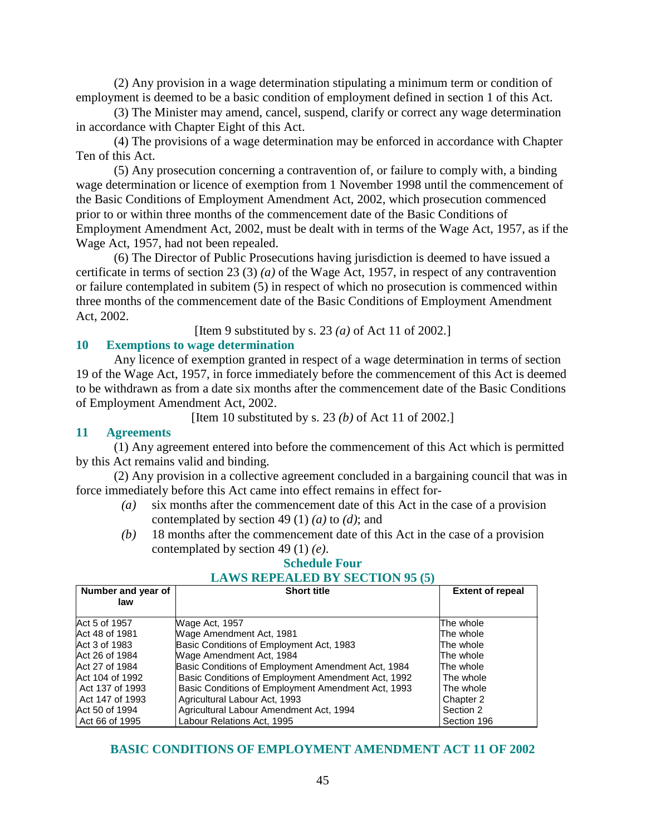(2) Any provision in a wage determination stipulating a minimum term or condition of employment is deemed to be a basic condition of employment defined in section 1 of this Act.

 (3) The Minister may amend, cancel, suspend, clarify or correct any wage determination in accordance with Chapter Eight of this Act.

 (4) The provisions of a wage determination may be enforced in accordance with Chapter Ten of this Act.

 (5) Any prosecution concerning a contravention of, or failure to comply with, a binding wage determination or licence of exemption from 1 November 1998 until the commencement of the Basic Conditions of Employment Amendment Act, 2002, which prosecution commenced prior to or within three months of the commencement date of the Basic Conditions of Employment Amendment Act, 2002, must be dealt with in terms of the Wage Act, 1957, as if the Wage Act, 1957, had not been repealed.

 (6) The Director of Public Prosecutions having jurisdiction is deemed to have issued a certificate in terms of section 23 (3) *(a)* of the Wage Act, 1957, in respect of any contravention or failure contemplated in subitem (5) in respect of which no prosecution is commenced within three months of the commencement date of the Basic Conditions of Employment Amendment Act, 2002.

[Item 9 substituted by s. 23 *(a)* of Act 11 of 2002.]

## **10 Exemptions to wage determination**

 Any licence of exemption granted in respect of a wage determination in terms of section 19 of the Wage Act, 1957, in force immediately before the commencement of this Act is deemed to be withdrawn as from a date six months after the commencement date of the Basic Conditions of Employment Amendment Act, 2002.

[Item 10 substituted by s. 23 *(b)* of Act 11 of 2002.]

#### **11 Agreements**

 (1) Any agreement entered into before the commencement of this Act which is permitted by this Act remains valid and binding.

 (2) Any provision in a collective agreement concluded in a bargaining council that was in force immediately before this Act came into effect remains in effect for-

- *(a)* six months after the commencement date of this Act in the case of a provision contemplated by section 49 (1) *(a)* to *(d)*; and
- *(b)* 18 months after the commencement date of this Act in the case of a provision contemplated by section 49 (1) *(e)*.

#### **Schedule Four LAWS REPEALED BY SECTION 95 (5)**

| Number and year of | <b>Short title</b>                                 | <b>Extent of repeal</b> |
|--------------------|----------------------------------------------------|-------------------------|
| law                |                                                    |                         |
| Act 5 of 1957      | Wage Act, 1957                                     | The whole               |
| Act 48 of 1981     | Wage Amendment Act, 1981                           | The whole               |
| Act 3 of 1983      | Basic Conditions of Employment Act, 1983           | The whole               |
| Act 26 of 1984     | Wage Amendment Act, 1984                           | The whole               |
| Act 27 of 1984     | Basic Conditions of Employment Amendment Act, 1984 | The whole               |
| Act 104 of 1992    | Basic Conditions of Employment Amendment Act, 1992 | The whole               |
| LAct 137 of 1993   | Basic Conditions of Employment Amendment Act, 1993 | The whole               |
| LAct 147 of 1993   | Agricultural Labour Act, 1993                      | Chapter 2               |
| Act 50 of 1994     | Agricultural Labour Amendment Act, 1994            | Section 2               |
| LAct 66 of 1995    | Labour Relations Act, 1995                         | Section 196             |

## **BASIC CONDITIONS OF EMPLOYMENT AMENDMENT ACT 11 OF 2002**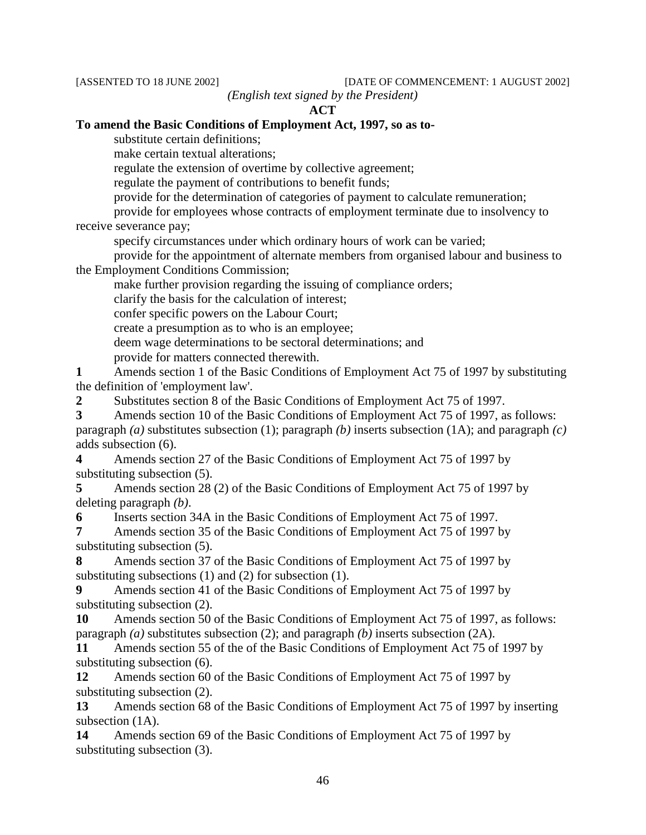[ASSENTED TO 18 JUNE 2002] [DATE OF COMMENCEMENT: 1 AUGUST 2002]

*(English text signed by the President)* 

**ACT** 

#### **To amend the Basic Conditions of Employment Act, 1997, so as to-**

substitute certain definitions;

make certain textual alterations;

regulate the extension of overtime by collective agreement;

regulate the payment of contributions to benefit funds;

provide for the determination of categories of payment to calculate remuneration;

 provide for employees whose contracts of employment terminate due to insolvency to receive severance pay;

specify circumstances under which ordinary hours of work can be varied;

 provide for the appointment of alternate members from organised labour and business to the Employment Conditions Commission;

make further provision regarding the issuing of compliance orders;

clarify the basis for the calculation of interest;

confer specific powers on the Labour Court;

create a presumption as to who is an employee;

deem wage determinations to be sectoral determinations; and

provide for matters connected therewith.

**1** Amends section 1 of the Basic Conditions of Employment Act 75 of 1997 by substituting the definition of 'employment law'.

**2** Substitutes section 8 of the Basic Conditions of Employment Act 75 of 1997.

**3** Amends section 10 of the Basic Conditions of Employment Act 75 of 1997, as follows: paragraph *(a)* substitutes subsection (1); paragraph *(b)* inserts subsection (1A); and paragraph *(c)* adds subsection (6).

**4** Amends section 27 of the Basic Conditions of Employment Act 75 of 1997 by substituting subsection (5).

**5** Amends section 28 (2) of the Basic Conditions of Employment Act 75 of 1997 by deleting paragraph *(b)*.

**6** Inserts section 34A in the Basic Conditions of Employment Act 75 of 1997.

**7** Amends section 35 of the Basic Conditions of Employment Act 75 of 1997 by substituting subsection (5).

**8** Amends section 37 of the Basic Conditions of Employment Act 75 of 1997 by substituting subsections (1) and (2) for subsection (1).

**9** Amends section 41 of the Basic Conditions of Employment Act 75 of 1997 by substituting subsection (2).

**10** Amends section 50 of the Basic Conditions of Employment Act 75 of 1997, as follows: paragraph *(a)* substitutes subsection (2); and paragraph *(b)* inserts subsection (2A).

**11** Amends section 55 of the of the Basic Conditions of Employment Act 75 of 1997 by substituting subsection (6).

**12** Amends section 60 of the Basic Conditions of Employment Act 75 of 1997 by substituting subsection (2).

**13** Amends section 68 of the Basic Conditions of Employment Act 75 of 1997 by inserting subsection  $(1A)$ .

**14** Amends section 69 of the Basic Conditions of Employment Act 75 of 1997 by substituting subsection (3).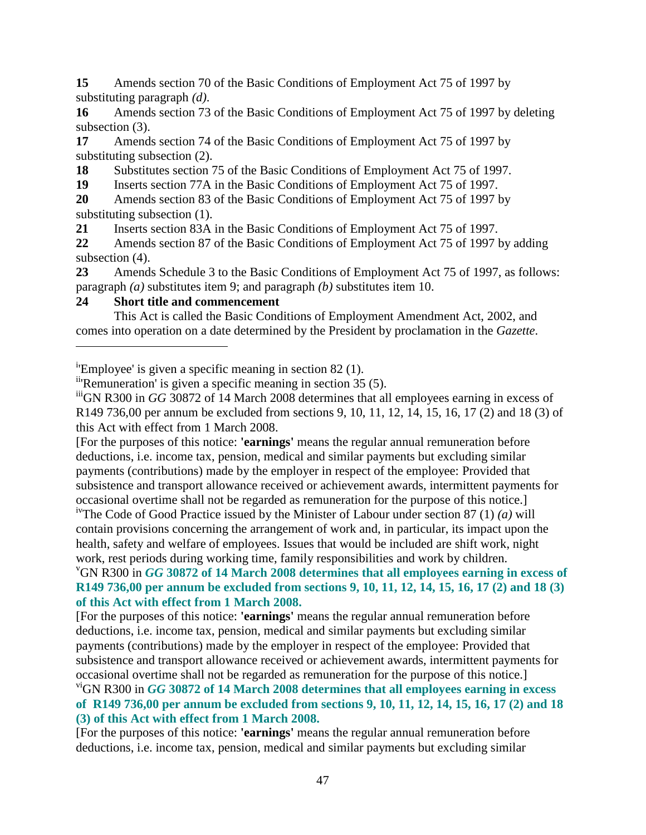**15** Amends section 70 of the Basic Conditions of Employment Act 75 of 1997 by substituting paragraph *(d)*.

**16** Amends section 73 of the Basic Conditions of Employment Act 75 of 1997 by deleting subsection (3).

**17** Amends section 74 of the Basic Conditions of Employment Act 75 of 1997 by substituting subsection (2).

18 Substitutes section 75 of the Basic Conditions of Employment Act 75 of 1997.

**19** Inserts section 77A in the Basic Conditions of Employment Act 75 of 1997.

**20** Amends section 83 of the Basic Conditions of Employment Act 75 of 1997 by substituting subsection (1).

**21** Inserts section 83A in the Basic Conditions of Employment Act 75 of 1997.

**22** Amends section 87 of the Basic Conditions of Employment Act 75 of 1997 by adding subsection (4).

**23** Amends Schedule 3 to the Basic Conditions of Employment Act 75 of 1997, as follows: paragraph *(a)* substitutes item 9; and paragraph *(b)* substitutes item 10.

## **24 Short title and commencement**

 $\overline{a}$ 

 This Act is called the Basic Conditions of Employment Amendment Act, 2002, and comes into operation on a date determined by the President by proclamation in the *Gazette*.

<sup>i</sup>'Employee' is given a specific meaning in section 82 (1).

ii'Remuneration' is given a specific meaning in section 35 (5).

<sup>iii</sup>GN R300 in *GG* 30872 of 14 March 2008 determines that all employees earning in excess of R149 736,00 per annum be excluded from sections 9, 10, 11, 12, 14, 15, 16, 17 (2) and 18 (3) of this Act with effect from 1 March 2008.

[For the purposes of this notice: **'earnings'** means the regular annual remuneration before deductions, i.e. income tax, pension, medical and similar payments but excluding similar payments (contributions) made by the employer in respect of the employee: Provided that subsistence and transport allowance received or achievement awards, intermittent payments for occasional overtime shall not be regarded as remuneration for the purpose of this notice.]

ivThe Code of Good Practice issued by the Minister of Labour under section 87 (1) *(a)* will contain provisions concerning the arrangement of work and, in particular, its impact upon the health, safety and welfare of employees. Issues that would be included are shift work, night work, rest periods during working time, family responsibilities and work by children.

## <sup>v</sup>GN R300 in *GG* **30872 of 14 March 2008 determines that all employees earning in excess of R149 736,00 per annum be excluded from sections 9, 10, 11, 12, 14, 15, 16, 17 (2) and 18 (3) of this Act with effect from 1 March 2008.**

[For the purposes of this notice: **'earnings'** means the regular annual remuneration before deductions, i.e. income tax, pension, medical and similar payments but excluding similar payments (contributions) made by the employer in respect of the employee: Provided that subsistence and transport allowance received or achievement awards, intermittent payments for occasional overtime shall not be regarded as remuneration for the purpose of this notice.]

## viGN R300 in *GG* **30872 of 14 March 2008 determines that all employees earning in excess of R149 736,00 per annum be excluded from sections 9, 10, 11, 12, 14, 15, 16, 17 (2) and 18 (3) of this Act with effect from 1 March 2008.**

[For the purposes of this notice: **'earnings'** means the regular annual remuneration before deductions, i.e. income tax, pension, medical and similar payments but excluding similar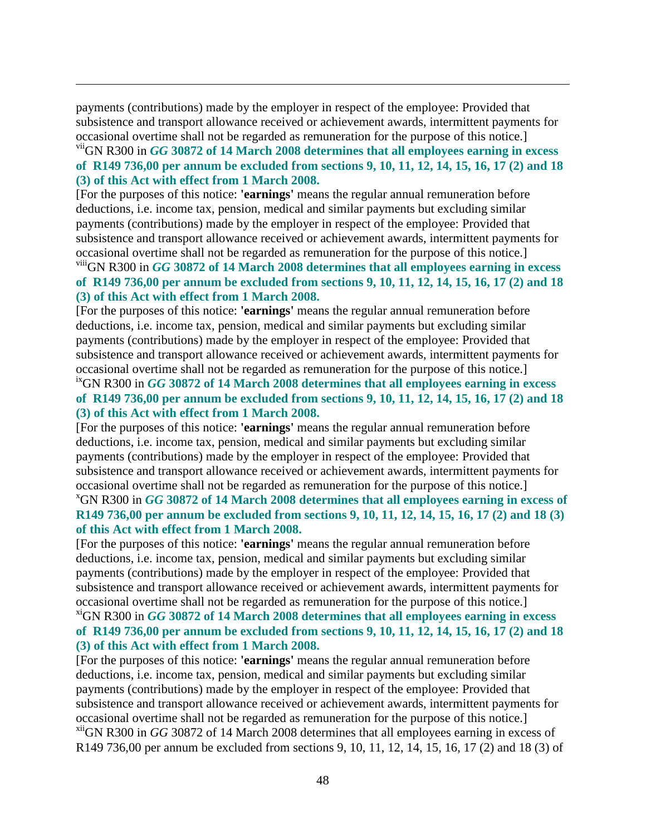payments (contributions) made by the employer in respect of the employee: Provided that subsistence and transport allowance received or achievement awards, intermittent payments for occasional overtime shall not be regarded as remuneration for the purpose of this notice.]

<u>.</u>

## viiGN R300 in *GG* **30872 of 14 March 2008 determines that all employees earning in excess of R149 736,00 per annum be excluded from sections 9, 10, 11, 12, 14, 15, 16, 17 (2) and 18 (3) of this Act with effect from 1 March 2008.**

[For the purposes of this notice: **'earnings'** means the regular annual remuneration before deductions, i.e. income tax, pension, medical and similar payments but excluding similar payments (contributions) made by the employer in respect of the employee: Provided that subsistence and transport allowance received or achievement awards, intermittent payments for occasional overtime shall not be regarded as remuneration for the purpose of this notice.]

## viiiGN R300 in *GG* **30872 of 14 March 2008 determines that all employees earning in excess of R149 736,00 per annum be excluded from sections 9, 10, 11, 12, 14, 15, 16, 17 (2) and 18 (3) of this Act with effect from 1 March 2008.**

[For the purposes of this notice: **'earnings'** means the regular annual remuneration before deductions, i.e. income tax, pension, medical and similar payments but excluding similar payments (contributions) made by the employer in respect of the employee: Provided that subsistence and transport allowance received or achievement awards, intermittent payments for occasional overtime shall not be regarded as remuneration for the purpose of this notice.]

## ixGN R300 in *GG* **30872 of 14 March 2008 determines that all employees earning in excess of R149 736,00 per annum be excluded from sections 9, 10, 11, 12, 14, 15, 16, 17 (2) and 18 (3) of this Act with effect from 1 March 2008.**

[For the purposes of this notice: **'earnings'** means the regular annual remuneration before deductions, i.e. income tax, pension, medical and similar payments but excluding similar payments (contributions) made by the employer in respect of the employee: Provided that subsistence and transport allowance received or achievement awards, intermittent payments for occasional overtime shall not be regarded as remuneration for the purpose of this notice.] <sup>x</sup>GN R300 in *GG* **30872 of 14 March 2008 determines that all employees earning in excess of R149 736,00 per annum be excluded from sections 9, 10, 11, 12, 14, 15, 16, 17 (2) and 18 (3) of this Act with effect from 1 March 2008.** 

[For the purposes of this notice: **'earnings'** means the regular annual remuneration before deductions, i.e. income tax, pension, medical and similar payments but excluding similar payments (contributions) made by the employer in respect of the employee: Provided that subsistence and transport allowance received or achievement awards, intermittent payments for occasional overtime shall not be regarded as remuneration for the purpose of this notice.]

## xiGN R300 in *GG* **30872 of 14 March 2008 determines that all employees earning in excess of R149 736,00 per annum be excluded from sections 9, 10, 11, 12, 14, 15, 16, 17 (2) and 18 (3) of this Act with effect from 1 March 2008.**

[For the purposes of this notice: **'earnings'** means the regular annual remuneration before deductions, i.e. income tax, pension, medical and similar payments but excluding similar payments (contributions) made by the employer in respect of the employee: Provided that subsistence and transport allowance received or achievement awards, intermittent payments for occasional overtime shall not be regarded as remuneration for the purpose of this notice.] xiiGN R300 in *GG* 30872 of 14 March 2008 determines that all employees earning in excess of R149 736,00 per annum be excluded from sections 9, 10, 11, 12, 14, 15, 16, 17 (2) and 18 (3) of